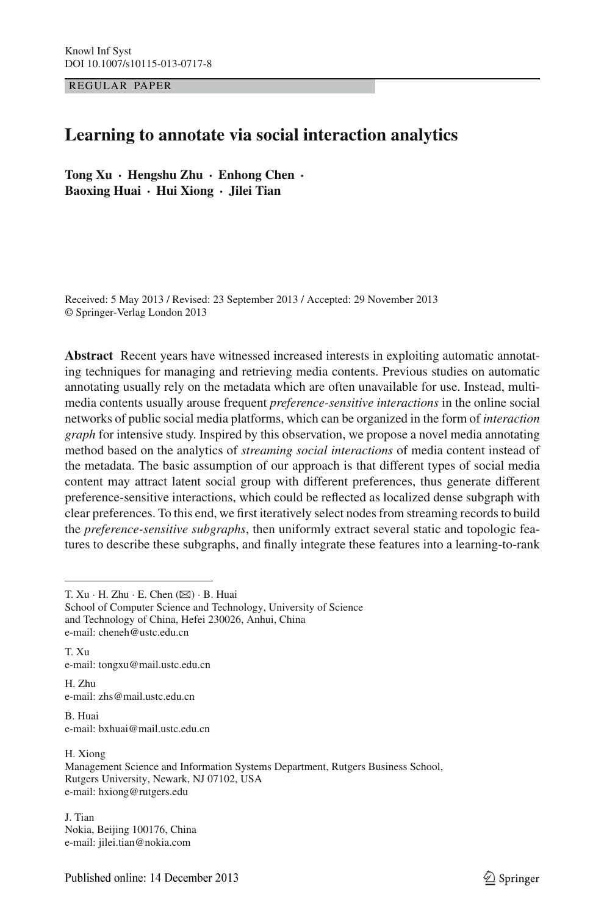REGULAR PAPER

# **Learning to annotate via social interaction analytics**

**Tong Xu · Hengshu Zhu · Enhong Chen · Baoxing Huai · Hui Xiong · Jilei Tian**

Received: 5 May 2013 / Revised: 23 September 2013 / Accepted: 29 November 2013 © Springer-Verlag London 2013

**Abstract** Recent years have witnessed increased interests in exploiting automatic annotating techniques for managing and retrieving media contents. Previous studies on automatic annotating usually rely on the metadata which are often unavailable for use. Instead, multimedia contents usually arouse frequent *preference-sensitive interactions* in the online social networks of public social media platforms, which can be organized in the form of *interaction graph* for intensive study. Inspired by this observation, we propose a novel media annotating method based on the analytics of *streaming social interactions* of media content instead of the metadata. The basic assumption of our approach is that different types of social media content may attract latent social group with different preferences, thus generate different preference-sensitive interactions, which could be reflected as localized dense subgraph with clear preferences. To this end, we first iteratively select nodes from streaming records to build the *preference-sensitive subgraphs*, then uniformly extract several static and topologic features to describe these subgraphs, and finally integrate these features into a learning-to-rank

T. Xu  $\cdot$  H. Zhu  $\cdot$  E. Chen ( $\boxtimes$ )  $\cdot$  B. Huai

T. Xu e-mail: tongxu@mail.ustc.edu.cn

H. Zhu e-mail: zhs@mail.ustc.edu.cn

B. Huai e-mail: bxhuai@mail.ustc.edu.cn

H. Xiong Management Science and Information Systems Department, Rutgers Business School, Rutgers University, Newark, NJ 07102, USA e-mail: hxiong@rutgers.edu

J. Tian Nokia, Beijing 100176, China e-mail: jilei.tian@nokia.com

School of Computer Science and Technology, University of Science and Technology of China, Hefei 230026, Anhui, China e-mail: cheneh@ustc.edu.cn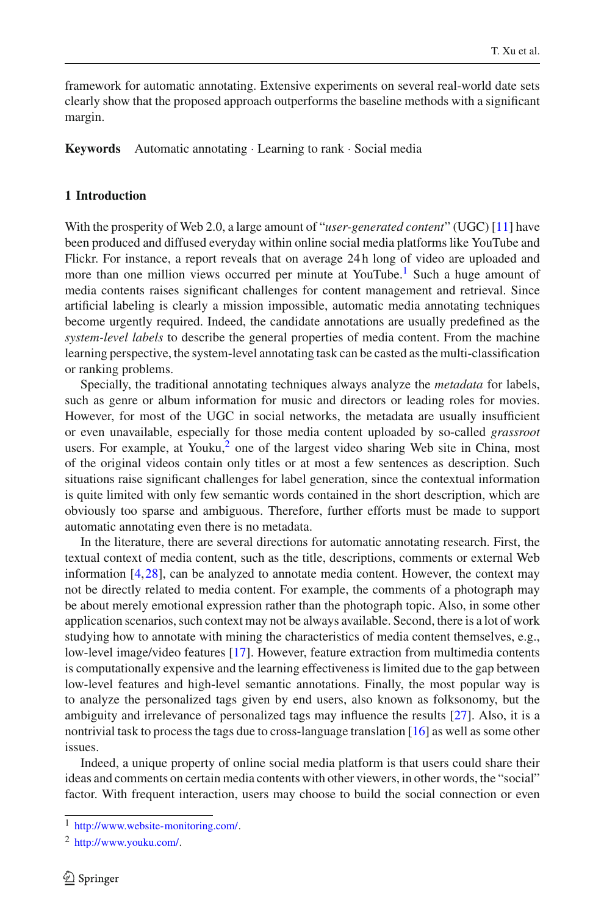framework for automatic annotating. Extensive experiments on several real-world date sets clearly show that the proposed approach outperforms the baseline methods with a significant margin.

**Keywords** Automatic annotating · Learning to rank · Social media

### <span id="page-1-2"></span>**1 Introduction**

With the prosperity of Web 2.0, a large amount of "*user-generated content*" (UGC) [\[11](#page-22-0)] have been produced and diffused everyday within online social media platforms like YouTube and Flickr. For instance, a report reveals that on average 24 h long of video are uploaded and more than one million views occurred per minute at YouTube.<sup>1</sup> Such a huge amount of media contents raises significant challenges for content management and retrieval. Since artificial labeling is clearly a mission impossible, automatic media annotating techniques become urgently required. Indeed, the candidate annotations are usually predefined as the *system-level labels* to describe the general properties of media content. From the machine learning perspective, the system-level annotating task can be casted as the multi-classification or ranking problems.

Specially, the traditional annotating techniques always analyze the *metadata* for labels, such as genre or album information for music and directors or leading roles for movies. However, for most of the UGC in social networks, the metadata are usually insufficient or even unavailable, especially for those media content uploaded by so-called *grassroot* users. For example, at Youku, $<sup>2</sup>$  one of the largest video sharing Web site in China, most</sup> of the original videos contain only titles or at most a few sentences as description. Such situations raise significant challenges for label generation, since the contextual information is quite limited with only few semantic words contained in the short description, which are obviously too sparse and ambiguous. Therefore, further efforts must be made to support automatic annotating even there is no metadata.

In the literature, there are several directions for automatic annotating research. First, the textual context of media content, such as the title, descriptions, comments or external Web information [\[4,](#page-22-1)[28](#page-23-0)], can be analyzed to annotate media content. However, the context may not be directly related to media content. For example, the comments of a photograph may be about merely emotional expression rather than the photograph topic. Also, in some other application scenarios, such context may not be always available. Second, there is a lot of work studying how to annotate with mining the characteristics of media content themselves, e.g., low-level image/video features [\[17](#page-22-2)]. However, feature extraction from multimedia contents is computationally expensive and the learning effectiveness is limited due to the gap between low-level features and high-level semantic annotations. Finally, the most popular way is to analyze the personalized tags given by end users, also known as folksonomy, but the ambiguity and irrelevance of personalized tags may influence the results [\[27](#page-23-1)]. Also, it is a nontrivial task to process the tags due to cross-language translation [\[16\]](#page-22-3) as well as some other issues.

Indeed, a unique property of online social media platform is that users could share their ideas and comments on certain media contents with other viewers, in other words, the "social" factor. With frequent interaction, users may choose to build the social connection or even

<sup>1</sup> [http://www.website-monitoring.com/.](http://www.website-monitoring.com/)

<span id="page-1-1"></span><span id="page-1-0"></span><sup>2</sup> [http://www.youku.com/.](http://www.youku.com/)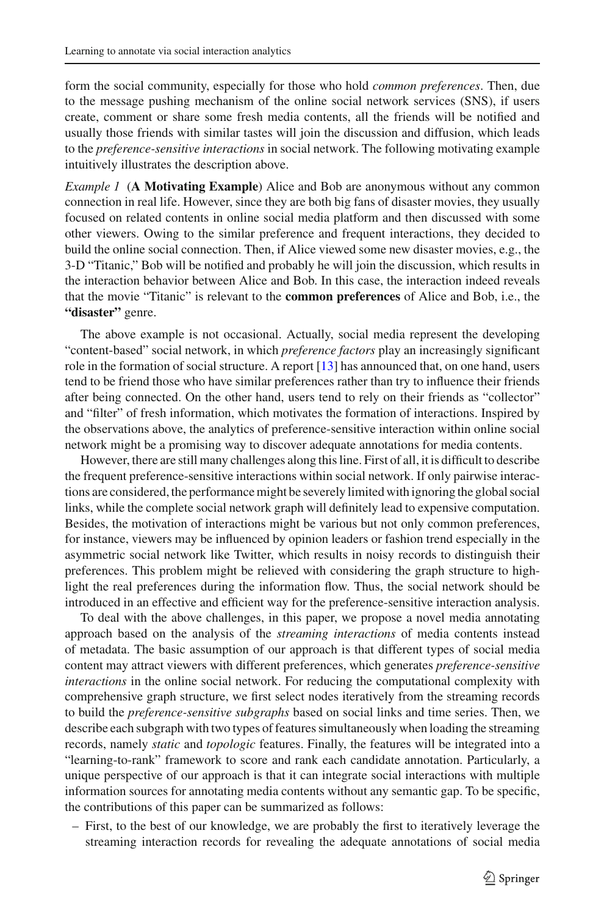form the social community, especially for those who hold *common preferences*. Then, due to the message pushing mechanism of the online social network services (SNS), if users create, comment or share some fresh media contents, all the friends will be notified and usually those friends with similar tastes will join the discussion and diffusion, which leads to the *preference-sensitive interactions* in social network. The following motivating example intuitively illustrates the description above.

*Example 1* (**A Motivating Example**) Alice and Bob are anonymous without any common connection in real life. However, since they are both big fans of disaster movies, they usually focused on related contents in online social media platform and then discussed with some other viewers. Owing to the similar preference and frequent interactions, they decided to build the online social connection. Then, if Alice viewed some new disaster movies, e.g., the 3-D "Titanic," Bob will be notified and probably he will join the discussion, which results in the interaction behavior between Alice and Bob. In this case, the interaction indeed reveals that the movie "Titanic" is relevant to the **common preferences** of Alice and Bob, i.e., the **"disaster"** genre.

The above example is not occasional. Actually, social media represent the developing "content-based" social network, in which *preference factors* play an increasingly significant role in the formation of social structure. A report [\[13\]](#page-22-4) has announced that, on one hand, users tend to be friend those who have similar preferences rather than try to influence their friends after being connected. On the other hand, users tend to rely on their friends as "collector" and "filter" of fresh information, which motivates the formation of interactions. Inspired by the observations above, the analytics of preference-sensitive interaction within online social network might be a promising way to discover adequate annotations for media contents.

However, there are still many challenges along this line. First of all, it is difficult to describe the frequent preference-sensitive interactions within social network. If only pairwise interactions are considered, the performance might be severely limited with ignoring the global social links, while the complete social network graph will definitely lead to expensive computation. Besides, the motivation of interactions might be various but not only common preferences, for instance, viewers may be influenced by opinion leaders or fashion trend especially in the asymmetric social network like Twitter, which results in noisy records to distinguish their preferences. This problem might be relieved with considering the graph structure to highlight the real preferences during the information flow. Thus, the social network should be introduced in an effective and efficient way for the preference-sensitive interaction analysis.

To deal with the above challenges, in this paper, we propose a novel media annotating approach based on the analysis of the *streaming interactions* of media contents instead of metadata. The basic assumption of our approach is that different types of social media content may attract viewers with different preferences, which generates *preference-sensitive interactions* in the online social network. For reducing the computational complexity with comprehensive graph structure, we first select nodes iteratively from the streaming records to build the *preference-sensitive subgraphs* based on social links and time series. Then, we describe each subgraph with two types of features simultaneously when loading the streaming records, namely *static* and *topologic* features. Finally, the features will be integrated into a "learning-to-rank" framework to score and rank each candidate annotation. Particularly, a unique perspective of our approach is that it can integrate social interactions with multiple information sources for annotating media contents without any semantic gap. To be specific, the contributions of this paper can be summarized as follows:

– First, to the best of our knowledge, we are probably the first to iteratively leverage the streaming interaction records for revealing the adequate annotations of social media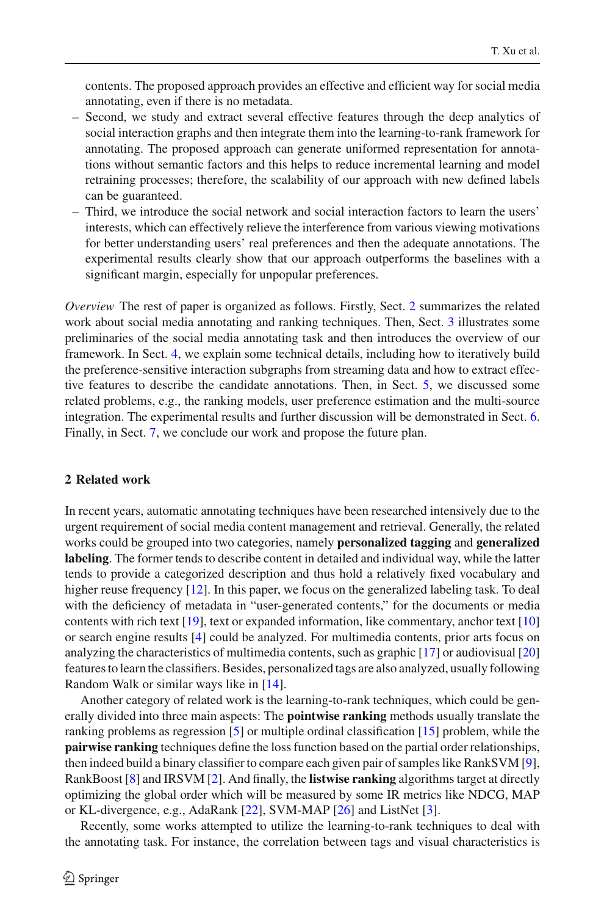contents. The proposed approach provides an effective and efficient way for social media annotating, even if there is no metadata.

- Second, we study and extract several effective features through the deep analytics of social interaction graphs and then integrate them into the learning-to-rank framework for annotating. The proposed approach can generate uniformed representation for annotations without semantic factors and this helps to reduce incremental learning and model retraining processes; therefore, the scalability of our approach with new defined labels can be guaranteed.
- Third, we introduce the social network and social interaction factors to learn the users' interests, which can effectively relieve the interference from various viewing motivations for better understanding users' real preferences and then the adequate annotations. The experimental results clearly show that our approach outperforms the baselines with a significant margin, especially for unpopular preferences.

*Overview* The rest of paper is organized as follows. Firstly, Sect. [2](#page-3-0) summarizes the related work about social media annotating and ranking techniques. Then, Sect. [3](#page-4-0) illustrates some preliminaries of the social media annotating task and then introduces the overview of our framework. In Sect. [4,](#page-8-0) we explain some technical details, including how to iteratively build the preference-sensitive interaction subgraphs from streaming data and how to extract effective features to describe the candidate annotations. Then, in Sect. [5,](#page-10-0) we discussed some related problems, e.g., the ranking models, user preference estimation and the multi-source integration. The experimental results and further discussion will be demonstrated in Sect. [6.](#page-13-0) Finally, in Sect. [7,](#page-21-0) we conclude our work and propose the future plan.

# <span id="page-3-0"></span>**2 Related work**

In recent years, automatic annotating techniques have been researched intensively due to the urgent requirement of social media content management and retrieval. Generally, the related works could be grouped into two categories, namely **personalized tagging** and **generalized labeling**. The former tends to describe content in detailed and individual way, while the latter tends to provide a categorized description and thus hold a relatively fixed vocabulary and higher reuse frequency [\[12\]](#page-22-5). In this paper, we focus on the generalized labeling task. To deal with the deficiency of metadata in "user-generated contents," for the documents or media contents with rich text [\[19](#page-22-6)], text or expanded information, like commentary, anchor text [\[10\]](#page-22-7) or search engine results [\[4](#page-22-1)] could be analyzed. For multimedia contents, prior arts focus on analyzing the characteristics of multimedia contents, such as graphic [\[17](#page-22-2)] or audiovisual [\[20\]](#page-22-8) features to learn the classifiers. Besides, personalized tags are also analyzed, usually following Random Walk or similar ways like in [\[14](#page-22-9)].

Another category of related work is the learning-to-rank techniques, which could be generally divided into three main aspects: The **pointwise ranking** methods usually translate the ranking problems as regression [\[5\]](#page-22-10) or multiple ordinal classification [\[15\]](#page-22-11) problem, while the **pairwise ranking** techniques define the loss function based on the partial order relationships, then indeed build a binary classifier to compare each given pair of samples like RankSVM [\[9\]](#page-22-12), RankBoost [\[8\]](#page-22-13) and IRSVM [\[2\]](#page-22-14). And finally, the **listwise ranking** algorithms target at directly optimizing the global order which will be measured by some IR metrics like NDCG, MAP or KL-divergence, e.g., AdaRank [\[22](#page-23-2)], SVM-MAP [\[26](#page-23-3)] and ListNet [\[3](#page-22-15)].

Recently, some works attempted to utilize the learning-to-rank techniques to deal with the annotating task. For instance, the correlation between tags and visual characteristics is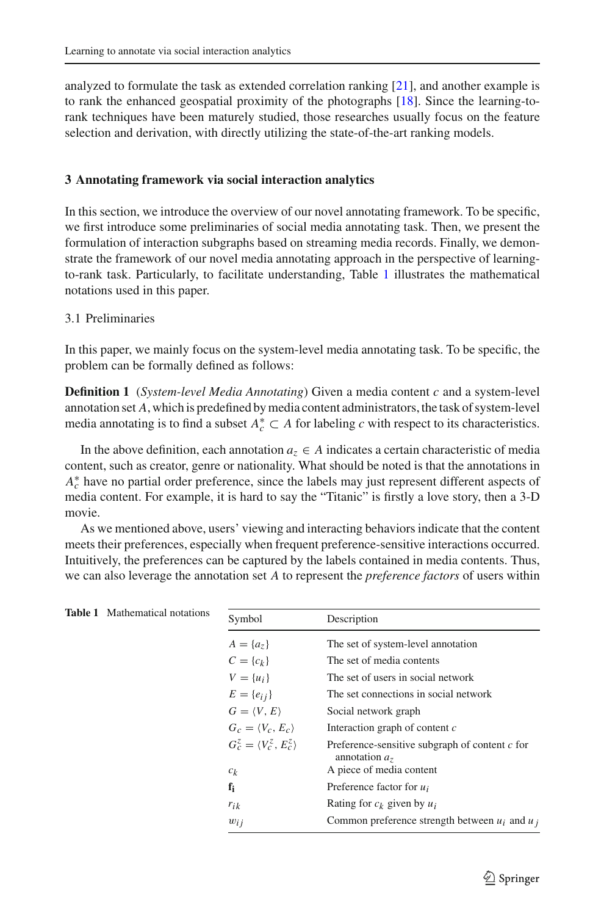analyzed to formulate the task as extended correlation ranking [\[21\]](#page-22-16), and another example is to rank the enhanced geospatial proximity of the photographs [\[18\]](#page-22-17). Since the learning-torank techniques have been maturely studied, those researches usually focus on the feature selection and derivation, with directly utilizing the state-of-the-art ranking models.

### <span id="page-4-0"></span>**3 Annotating framework via social interaction analytics**

In this section, we introduce the overview of our novel annotating framework. To be specific, we first introduce some preliminaries of social media annotating task. Then, we present the formulation of interaction subgraphs based on streaming media records. Finally, we demonstrate the framework of our novel media annotating approach in the perspective of learningto-rank task. Particularly, to facilitate understanding, Table [1](#page-4-1) illustrates the mathematical notations used in this paper.

# <span id="page-4-2"></span>3.1 Preliminaries

In this paper, we mainly focus on the system-level media annotating task. To be specific, the problem can be formally defined as follows:

**Definition 1** (*System-level Media Annotating*) Given a media content *c* and a system-level annotation set *A*, which is predefined by media content administrators, the task of system-level media annotating is to find a subset  $A_c^* \subset A$  for labeling *c* with respect to its characteristics.

In the above definition, each annotation  $a_z \in A$  indicates a certain characteristic of media content, such as creator, genre or nationality. What should be noted is that the annotations in *A*<sup>∗</sup> have no partial order preference, since the labels may just represent different aspects of media content. For example, it is hard to say the "Titanic" is firstly a love story, then a 3-D movie.

As we mentioned above, users' viewing and interacting behaviors indicate that the content meets their preferences, especially when frequent preference-sensitive interactions occurred. Intuitively, the preferences can be captured by the labels contained in media contents. Thus, we can also leverage the annotation set *A* to represent the *preference factors* of users within

<span id="page-4-1"></span>

| <b>Table 1</b> Mathematical notations | Symbol                                 | Description                                                         |  |  |
|---------------------------------------|----------------------------------------|---------------------------------------------------------------------|--|--|
|                                       | $A = \{a_7\}$                          | The set of system-level annotation                                  |  |  |
|                                       | $C = \{c_k\}$                          | The set of media contents                                           |  |  |
|                                       | $V = \{u_i\}$                          | The set of users in social network                                  |  |  |
|                                       | $E = \{e_{ij}\}\$                      | The set connections in social network                               |  |  |
|                                       | $G = \langle V, E \rangle$             | Social network graph                                                |  |  |
|                                       | $G_c = \langle V_c, E_c \rangle$       | Interaction graph of content $c$                                    |  |  |
|                                       | $G_c^z = \langle V_c^z, E_c^z \rangle$ | Preference-sensitive subgraph of content $c$ for<br>annotation $a7$ |  |  |
|                                       | $c_k$                                  | A piece of media content                                            |  |  |
|                                       | $f_i$                                  | Preference factor for $u_i$                                         |  |  |
|                                       | $r_{ik}$                               | Rating for $c_k$ given by $u_i$                                     |  |  |
|                                       | $w_{ij}$                               | Common preference strength between $u_i$ and $u_j$                  |  |  |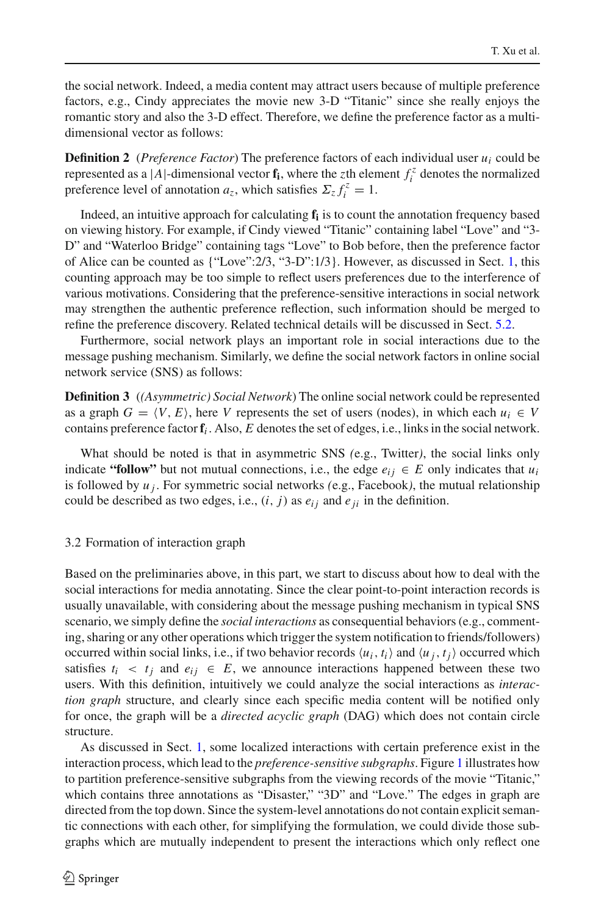the social network. Indeed, a media content may attract users because of multiple preference factors, e.g., Cindy appreciates the movie new 3-D "Titanic" since she really enjoys the romantic story and also the 3-D effect. Therefore, we define the preference factor as a multidimensional vector as follows:

**Definition 2** (*Preference Factor*) The preference factors of each individual user *ui* could be represented as a |*A*|-dimensional vector  $f_i$ , where the *z*th element  $f_i^z$  denotes the normalized preference level of annotation  $a_z$ , which satisfies  $\Sigma_z f_i^z = 1$ .

Indeed, an intuitive approach for calculating **fi** is to count the annotation frequency based on viewing history. For example, if Cindy viewed "Titanic" containing label "Love" and "3- D" and "Waterloo Bridge" containing tags "Love" to Bob before, then the preference factor of Alice can be counted as {"Love":2/3, "3-D":1/3}. However, as discussed in Sect. [1,](#page-1-2) this counting approach may be too simple to reflect users preferences due to the interference of various motivations. Considering that the preference-sensitive interactions in social network may strengthen the authentic preference reflection, such information should be merged to refine the preference discovery. Related technical details will be discussed in Sect. [5.2.](#page-11-0)

Furthermore, social network plays an important role in social interactions due to the message pushing mechanism. Similarly, we define the social network factors in online social network service (SNS) as follows:

**Definition 3** (*(Asymmetric) Social Network*) The online social network could be represented as a graph  $G = \langle V, E \rangle$ , here *V* represents the set of users (nodes), in which each  $u_i \in V$ contains preference factor  $f_i$ . Also,  $E$  denotes the set of edges, i.e., links in the social network.

What should be noted is that in asymmetric SNS *(*e.g., Twitter*)*, the social links only indicate "follow" but not mutual connections, i.e., the edge  $e_{ij} \in E$  only indicates that  $u_i$ is followed by  $u_j$ . For symmetric social networks (e.g., Facebook), the mutual relationship could be described as two edges, i.e.,  $(i, j)$  as  $e_{ij}$  and  $e_{ji}$  in the definition.

#### <span id="page-5-0"></span>3.2 Formation of interaction graph

Based on the preliminaries above, in this part, we start to discuss about how to deal with the social interactions for media annotating. Since the clear point-to-point interaction records is usually unavailable, with considering about the message pushing mechanism in typical SNS scenario, we simply define the *social interactions* as consequential behaviors (e.g., commenting, sharing or any other operations which trigger the system notification to friends/followers) occurred within social links, i.e., if two behavior records  $\langle u_i, t_i \rangle$  and  $\langle u_j, t_j \rangle$  occurred which satisfies  $t_i < t_j$  and  $e_{ij} \in E$ , we announce interactions happened between these two users. With this definition, intuitively we could analyze the social interactions as *interaction graph* structure, and clearly since each specific media content will be notified only for once, the graph will be a *directed acyclic graph* (DAG) which does not contain circle structure.

As discussed in Sect. [1,](#page-1-2) some localized interactions with certain preference exist in the interaction process, which lead to the *preference-sensitive subgraphs*. Figure [1](#page-6-0) illustrates how to partition preference-sensitive subgraphs from the viewing records of the movie "Titanic," which contains three annotations as "Disaster," "3D" and "Love." The edges in graph are directed from the top down. Since the system-level annotations do not contain explicit semantic connections with each other, for simplifying the formulation, we could divide those subgraphs which are mutually independent to present the interactions which only reflect one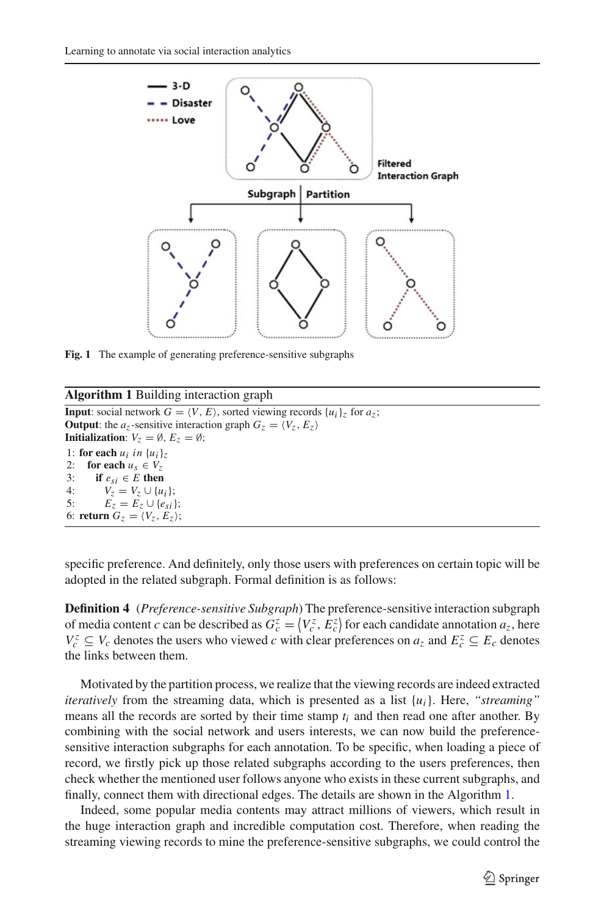

<span id="page-6-0"></span>**Fig. 1** The example of generating preference-sensitive subgraphs

### **Algorithm 1** Building interaction graph

```
Input: social network G = \langle V, E \rangle, sorted viewing records \{u_i\}_z for a_z;
Output: the az-sensitive interaction graph G_z = \langle V_z, E_z \rangleInitialization: V_z = \emptyset, E_z = \emptyset;
1: for each u_i in \{u_i\}_z2: for each u_s \in V_z<br>3: if e_{si} \in E then
3: if e_{si} \in E then<br>4: V_z = V_z \cup \{u\}4: V_z = V_z \cup \{u_i\};<br>5: E_z = E_z \cup \{e_{zi}\}E_z = E_z \cup \{e_{si}\};6: return G_z = \langle V_z, E_z \rangle;
```
specific preference. And definitely, only those users with preferences on certain topic will be adopted in the related subgraph. Formal definition is as follows:

**Definition 4** (*Preference-sensitive Subgraph*) The preference-sensitive interaction subgraph of media content *c* can be described as  $G_c^z = \langle V_c^z, E_c^z \rangle$  for each candidate annotation  $a_z$ , here  $V_c^z \subseteq V_c$  denotes the users who viewed *c* with clear preferences on  $a_z$  and  $E_c^z \subseteq E_c$  denotes the links between them.

Motivated by the partition process, we realize that the viewing records are indeed extracted *iteratively* from the streaming data, which is presented as a list {*ui*}. Here, *"streaming"* means all the records are sorted by their time stamp  $t_i$  and then read one after another. By combining with the social network and users interests, we can now build the preferencesensitive interaction subgraphs for each annotation. To be specific, when loading a piece of record, we firstly pick up those related subgraphs according to the users preferences, then check whether the mentioned user follows anyone who exists in these current subgraphs, and finally, connect them with directional edges. The details are shown in the Algorithm [1.](#page-6-1)

Indeed, some popular media contents may attract millions of viewers, which result in the huge interaction graph and incredible computation cost. Therefore, when reading the streaming viewing records to mine the preference-sensitive subgraphs, we could control the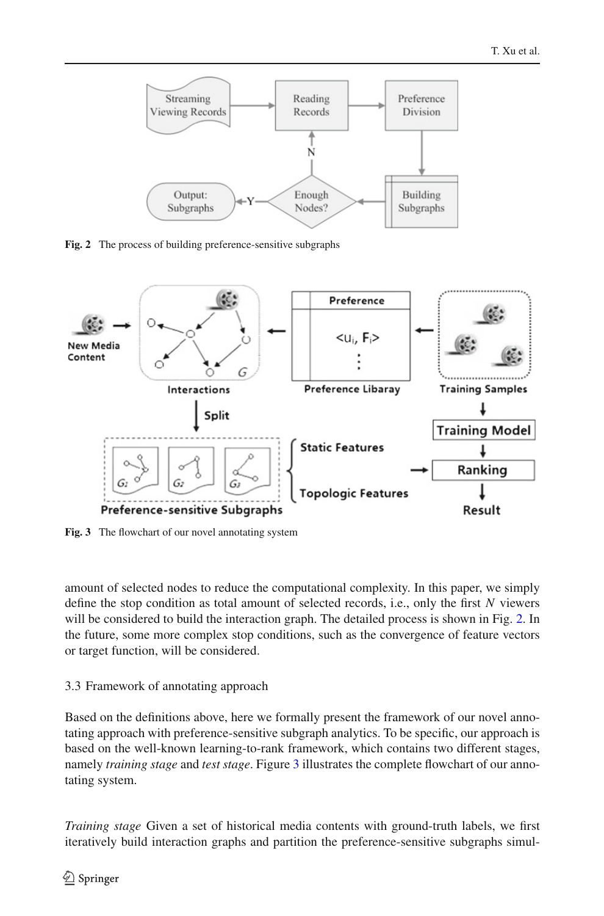

<span id="page-7-0"></span>**Fig. 2** The process of building preference-sensitive subgraphs



<span id="page-7-1"></span>**Fig. 3** The flowchart of our novel annotating system

amount of selected nodes to reduce the computational complexity. In this paper, we simply define the stop condition as total amount of selected records, i.e., only the first *N* viewers will be considered to build the interaction graph. The detailed process is shown in Fig. [2.](#page-7-0) In the future, some more complex stop conditions, such as the convergence of feature vectors or target function, will be considered.

### <span id="page-7-2"></span>3.3 Framework of annotating approach

Based on the definitions above, here we formally present the framework of our novel annotating approach with preference-sensitive subgraph analytics. To be specific, our approach is based on the well-known learning-to-rank framework, which contains two different stages, namely *training stage* and *test stage*. Figure [3](#page-7-1) illustrates the complete flowchart of our annotating system.

*Training stage* Given a set of historical media contents with ground-truth labels, we first iteratively build interaction graphs and partition the preference-sensitive subgraphs simul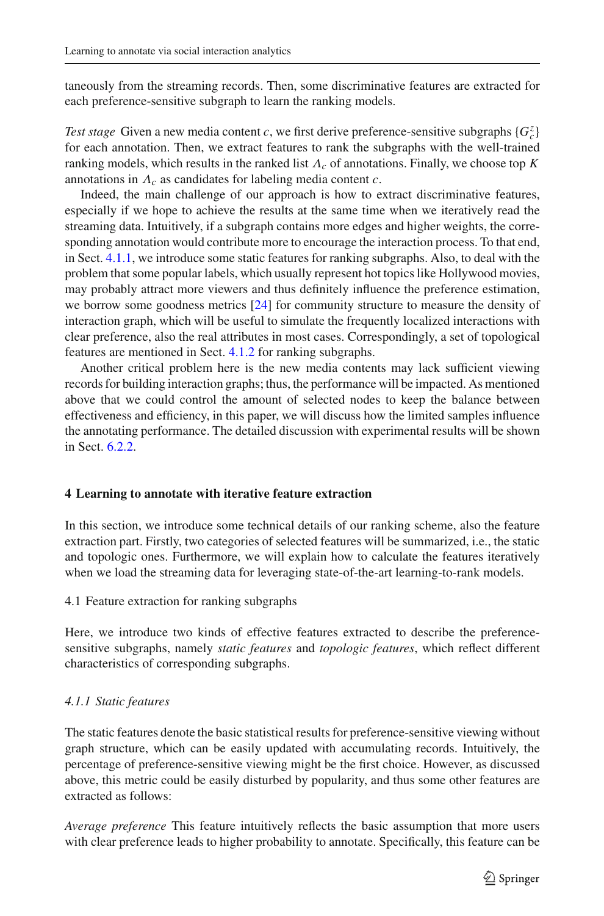taneously from the streaming records. Then, some discriminative features are extracted for each preference-sensitive subgraph to learn the ranking models.

*Test stage* Given a new media content *c*, we first derive preference-sensitive subgraphs  ${G_c^z}$ for each annotation. Then, we extract features to rank the subgraphs with the well-trained ranking models, which results in the ranked list Λ*<sup>c</sup>* of annotations. Finally, we choose top *K* annotations in Λ*<sup>c</sup>* as candidates for labeling media content *c*.

Indeed, the main challenge of our approach is how to extract discriminative features, especially if we hope to achieve the results at the same time when we iteratively read the streaming data. Intuitively, if a subgraph contains more edges and higher weights, the corresponding annotation would contribute more to encourage the interaction process. To that end, in Sect. [4.1.1,](#page-8-1) we introduce some static features for ranking subgraphs. Also, to deal with the problem that some popular labels, which usually represent hot topics like Hollywood movies, may probably attract more viewers and thus definitely influence the preference estimation, we borrow some goodness metrics [\[24\]](#page-23-4) for community structure to measure the density of interaction graph, which will be useful to simulate the frequently localized interactions with clear preference, also the real attributes in most cases. Correspondingly, a set of topological features are mentioned in Sect. [4.1.2](#page-9-0) for ranking subgraphs.

Another critical problem here is the new media contents may lack sufficient viewing records for building interaction graphs; thus, the performance will be impacted. As mentioned above that we could control the amount of selected nodes to keep the balance between effectiveness and efficiency, in this paper, we will discuss how the limited samples influence the annotating performance. The detailed discussion with experimental results will be shown in Sect. [6.2.2.](#page-18-0)

### <span id="page-8-0"></span>**4 Learning to annotate with iterative feature extraction**

In this section, we introduce some technical details of our ranking scheme, also the feature extraction part. Firstly, two categories of selected features will be summarized, i.e., the static and topologic ones. Furthermore, we will explain how to calculate the features iteratively when we load the streaming data for leveraging state-of-the-art learning-to-rank models.

4.1 Feature extraction for ranking subgraphs

Here, we introduce two kinds of effective features extracted to describe the preferencesensitive subgraphs, namely *static features* and *topologic features*, which reflect different characteristics of corresponding subgraphs.

### <span id="page-8-1"></span>*4.1.1 Static features*

The static features denote the basic statistical results for preference-sensitive viewing without graph structure, which can be easily updated with accumulating records. Intuitively, the percentage of preference-sensitive viewing might be the first choice. However, as discussed above, this metric could be easily disturbed by popularity, and thus some other features are extracted as follows:

*Average preference* This feature intuitively reflects the basic assumption that more users with clear preference leads to higher probability to annotate. Specifically, this feature can be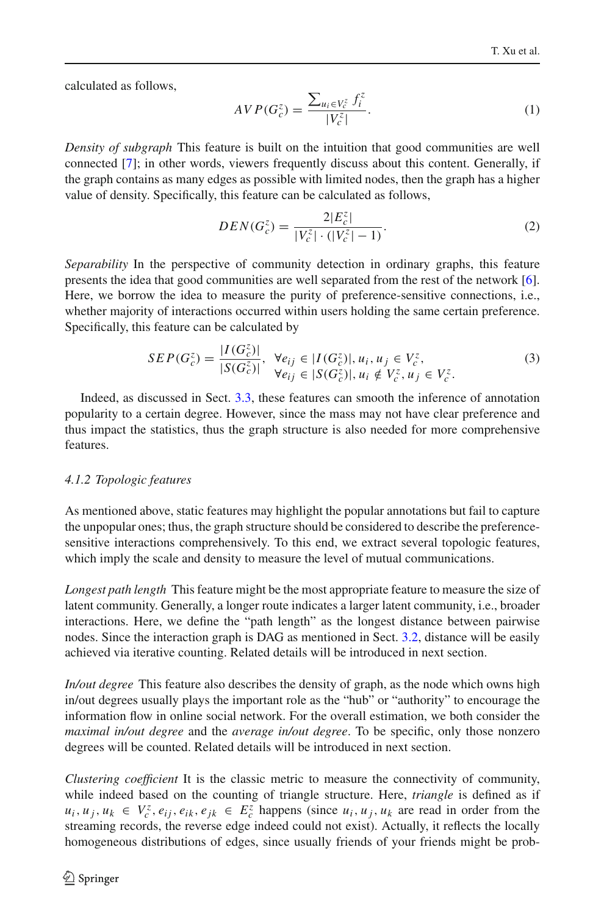calculated as follows,

$$
AVP(G_c^z) = \frac{\sum_{u_i \in V_c^z} f_i^z}{|V_c^z|}.
$$
 (1)

*Density of subgraph* This feature is built on the intuition that good communities are well connected [\[7](#page-22-18)]; in other words, viewers frequently discuss about this content. Generally, if the graph contains as many edges as possible with limited nodes, then the graph has a higher value of density. Specifically, this feature can be calculated as follows,

$$
DEN(G_c^z) = \frac{2|E_c^z|}{|V_c^z| \cdot (|V_c^z| - 1)}.
$$
\n(2)

*Separability* In the perspective of community detection in ordinary graphs, this feature presents the idea that good communities are well separated from the rest of the network [\[6\]](#page-22-19). Here, we borrow the idea to measure the purity of preference-sensitive connections, i.e., whether majority of interactions occurred within users holding the same certain preference. Specifically, this feature can be calculated by

$$
SEP(G_{c}^{z}) = \frac{|I(G_{c}^{z})|}{|S(G_{c}^{z})|}, \ \ \forall e_{ij} \in |I(G_{c}^{z})|, u_{i}, u_{j} \in V_{c}^{z},
$$
\n
$$
\forall e_{ij} \in |S(G_{c}^{z})|, u_{i} \notin V_{c}^{z}, u_{j} \in V_{c}^{z}.
$$
\n
$$
(3)
$$

Indeed, as discussed in Sect. [3.3,](#page-7-2) these features can smooth the inference of annotation popularity to a certain degree. However, since the mass may not have clear preference and thus impact the statistics, thus the graph structure is also needed for more comprehensive features.

#### <span id="page-9-0"></span>*4.1.2 Topologic features*

As mentioned above, static features may highlight the popular annotations but fail to capture the unpopular ones; thus, the graph structure should be considered to describe the preferencesensitive interactions comprehensively. To this end, we extract several topologic features, which imply the scale and density to measure the level of mutual communications.

*Longest path length* This feature might be the most appropriate feature to measure the size of latent community. Generally, a longer route indicates a larger latent community, i.e., broader interactions. Here, we define the "path length" as the longest distance between pairwise nodes. Since the interaction graph is DAG as mentioned in Sect. [3.2,](#page-5-0) distance will be easily achieved via iterative counting. Related details will be introduced in next section.

*In/out degree* This feature also describes the density of graph, as the node which owns high in/out degrees usually plays the important role as the "hub" or "authority" to encourage the information flow in online social network. For the overall estimation, we both consider the *maximal in/out degree* and the *average in/out degree*. To be specific, only those nonzero degrees will be counted. Related details will be introduced in next section.

*Clustering coefficient* It is the classic metric to measure the connectivity of community, while indeed based on the counting of triangle structure. Here, *triangle* is defined as if  $u_i, u_j, u_k \in V_c^z, e_{ij}, e_{ik}, e_{jk} \in E_c^z$  happens (since  $u_i, u_j, u_k$  are read in order from the streaming records, the reverse edge indeed could not exist). Actually, it reflects the locally homogeneous distributions of edges, since usually friends of your friends might be prob-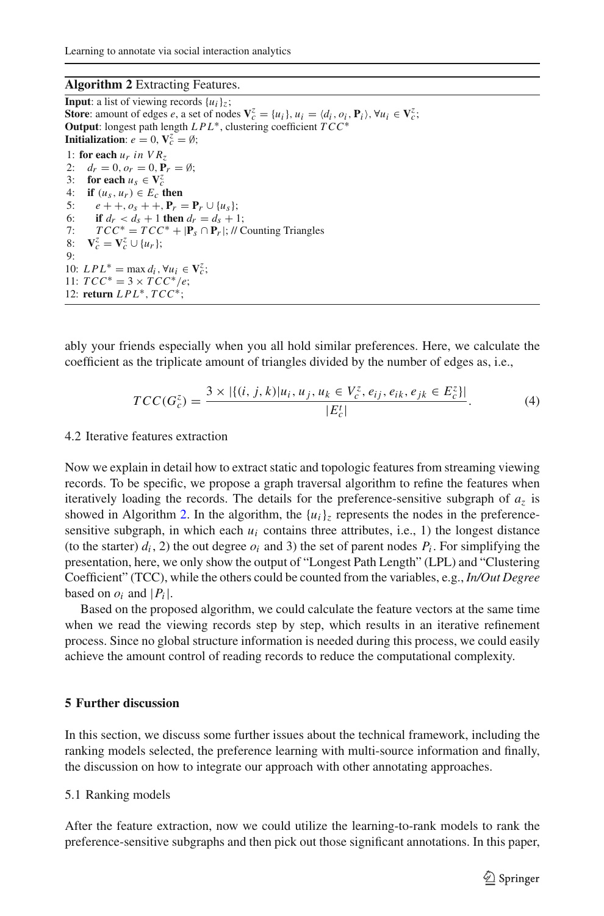#### **Algorithm 2** Extracting Features.

<span id="page-10-1"></span>**Input**: a list of viewing records  $\{u_i\}_i$ ; **Store**: amount of edges *e*, a set of nodes  $\mathbf{V}_c^z = \{u_i\}$ ,  $u_i = \langle d_i, o_i, \mathbf{P}_i \rangle$ ,  $\forall u_i \in \mathbf{V}_c^z$ ; **Output**: longest path length *LPL*∗, clustering coefficient *TCC*<sup>∗</sup> **Initialization**:  $e = 0$ ,  $V_c^z = \emptyset$ ; 1: **for each**  $u_r$  *in*  $VR_7$ 2:  $d_r = 0, o_r = 0, \mathbf{P}_r = \emptyset$ ; 3: **for each**  $u_s \in V_c^z$ 4: **if**  $(u_s, u_r) \in E_c$  **then**<br>5:  $e + i e + e + 1$  **P**<sub>n</sub> 5:  $e + +, o_s + +, P_r = P_r \cup \{u_s\};$ <br>6: **if**  $d_r < d_s + 1$  then  $d_r = d_s + 1$ 6: **if**  $d_r < d_s + 1$  **then**  $d_r = d_s + 1$ ;<br>7:  $TCC^* = TCC^* + |P_s \cap P_r|$ ; // C  $TCC^* = TCC^* + |\mathbf{P}_s \cap \mathbf{P}_r|$ ; // Counting Triangles 8:  $\mathbf{V}_c^z = \mathbf{V}_c^z \cup \{u_r\};$  $Q$ 10:  $LPL^* = \max d_i, \forall u_i \in V_c^z;$ 11:  $TCC^* = 3 \times TCC^*/e;$ 12: **return** *LPL*∗, *TCC*∗;

ably your friends especially when you all hold similar preferences. Here, we calculate the coefficient as the triplicate amount of triangles divided by the number of edges as, i.e.,

$$
TCC(G_c^z) = \frac{3 \times |\{(i, j, k)|u_i, u_j, u_k \in V_c^z, e_{ij}, e_{ik}, e_{jk} \in E_c^z\}|}{|E_c^t|}.
$$
 (4)

#### 4.2 Iterative features extraction

Now we explain in detail how to extract static and topologic features from streaming viewing records. To be specific, we propose a graph traversal algorithm to refine the features when iteratively loading the records. The details for the preference-sensitive subgraph of  $a<sub>z</sub>$  is showed in Algorithm [2.](#page-10-1) In the algorithm, the  ${u_i}_z$  represents the nodes in the preferencesensitive subgraph, in which each  $u_i$  contains three attributes, i.e., 1) the longest distance (to the starter)  $d_i$ , 2) the out degree  $o_i$  and 3) the set of parent nodes  $P_i$ . For simplifying the presentation, here, we only show the output of "Longest Path Length" (LPL) and "Clustering Coefficient" (TCC), while the others could be counted from the variables, e.g., *In/Out Degree* based on  $o_i$  and  $|P_i|$ .

Based on the proposed algorithm, we could calculate the feature vectors at the same time when we read the viewing records step by step, which results in an iterative refinement process. Since no global structure information is needed during this process, we could easily achieve the amount control of reading records to reduce the computational complexity.

### <span id="page-10-0"></span>**5 Further discussion**

In this section, we discuss some further issues about the technical framework, including the ranking models selected, the preference learning with multi-source information and finally, the discussion on how to integrate our approach with other annotating approaches.

#### 5.1 Ranking models

After the feature extraction, now we could utilize the learning-to-rank models to rank the preference-sensitive subgraphs and then pick out those significant annotations. In this paper,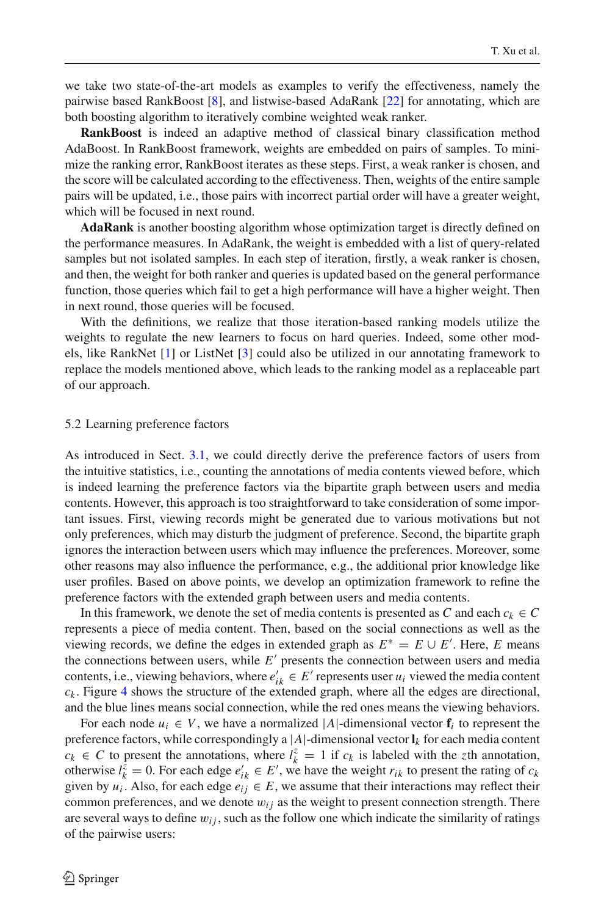we take two state-of-the-art models as examples to verify the effectiveness, namely the pairwise based RankBoost [\[8\]](#page-22-13), and listwise-based AdaRank [\[22\]](#page-23-2) for annotating, which are both boosting algorithm to iteratively combine weighted weak ranker.

**RankBoost** is indeed an adaptive method of classical binary classification method AdaBoost. In RankBoost framework, weights are embedded on pairs of samples. To minimize the ranking error, RankBoost iterates as these steps. First, a weak ranker is chosen, and the score will be calculated according to the effectiveness. Then, weights of the entire sample pairs will be updated, i.e., those pairs with incorrect partial order will have a greater weight, which will be focused in next round.

**AdaRank** is another boosting algorithm whose optimization target is directly defined on the performance measures. In AdaRank, the weight is embedded with a list of query-related samples but not isolated samples. In each step of iteration, firstly, a weak ranker is chosen, and then, the weight for both ranker and queries is updated based on the general performance function, those queries which fail to get a high performance will have a higher weight. Then in next round, those queries will be focused.

With the definitions, we realize that those iteration-based ranking models utilize the weights to regulate the new learners to focus on hard queries. Indeed, some other models, like RankNet [\[1\]](#page-22-20) or ListNet [\[3\]](#page-22-15) could also be utilized in our annotating framework to replace the models mentioned above, which leads to the ranking model as a replaceable part of our approach.

#### <span id="page-11-0"></span>5.2 Learning preference factors

As introduced in Sect. [3.1,](#page-4-2) we could directly derive the preference factors of users from the intuitive statistics, i.e., counting the annotations of media contents viewed before, which is indeed learning the preference factors via the bipartite graph between users and media contents. However, this approach is too straightforward to take consideration of some important issues. First, viewing records might be generated due to various motivations but not only preferences, which may disturb the judgment of preference. Second, the bipartite graph ignores the interaction between users which may influence the preferences. Moreover, some other reasons may also influence the performance, e.g., the additional prior knowledge like user profiles. Based on above points, we develop an optimization framework to refine the preference factors with the extended graph between users and media contents.

In this framework, we denote the set of media contents is presented as *C* and each  $c_k \in C$ represents a piece of media content. Then, based on the social connections as well as the viewing records, we define the edges in extended graph as  $E^* = E \cup E'$ . Here, *E* means the connections between users, while  $E'$  presents the connection between users and media contents, i.e., viewing behaviors, where  $e'_{ik} \in E'$  represents user  $u_i$  viewed the media content  $c_k$ . Figure [4](#page-12-0) shows the structure of the extended graph, where all the edges are directional, and the blue lines means social connection, while the red ones means the viewing behaviors.

For each node  $u_i \in V$ , we have a normalized |A|-dimensional vector  $f_i$  to represent the preference factors, while correspondingly a  $|A|$ -dimensional vector  $\mathbf{l}_k$  for each media content  $c_k \in C$  to present the annotations, where  $l_k^z = 1$  if  $c_k$  is labeled with the *z*th annotation, otherwise  $l_k^{\tilde{z}} = 0$ . For each edge  $e'_{ik} \in E'$ , we have the weight  $r_{ik}$  to present the rating of  $c_k$ given by  $u_i$ . Also, for each edge  $e_{ij} \in E$ , we assume that their interactions may reflect their common preferences, and we denote  $w_{ij}$  as the weight to present connection strength. There are several ways to define  $w_{ij}$ , such as the follow one which indicate the similarity of ratings of the pairwise users: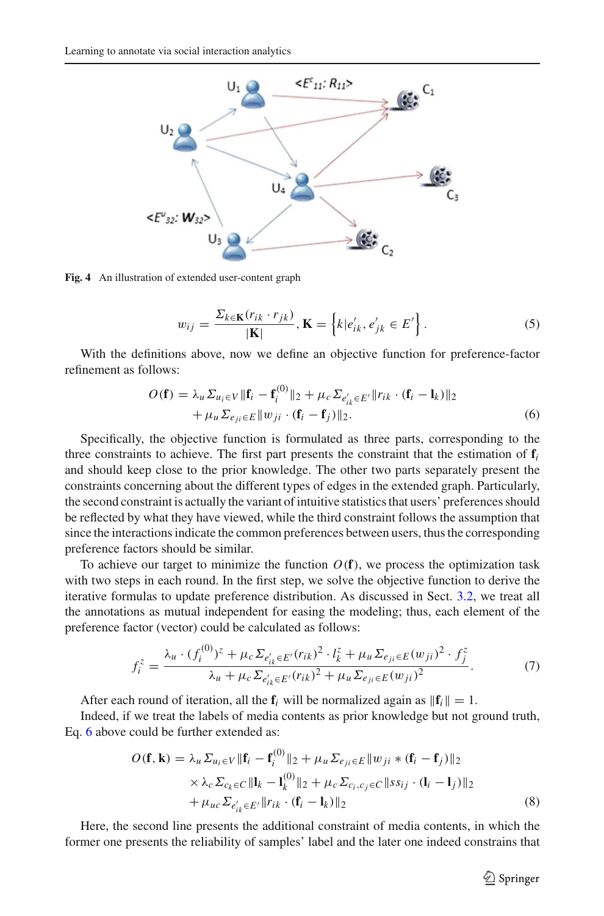

<span id="page-12-0"></span>**Fig. 4** An illustration of extended user-content graph

$$
w_{ij} = \frac{\Sigma_{k \in \mathbf{K}}(r_{ik} \cdot r_{jk})}{|\mathbf{K}|}, \mathbf{K} = \left\{ k | e'_{ik}, e'_{jk} \in E' \right\}.
$$
 (5)

<span id="page-12-3"></span><span id="page-12-1"></span>With the definitions above, now we define an objective function for preference-factor refinement as follows:

$$
O(\mathbf{f}) = \lambda_u \Sigma_{u_i \in V} \|\mathbf{f}_i - \mathbf{f}_i^{(0)}\|_2 + \mu_c \Sigma_{e'_{ik} \in E'} \|r_{ik} \cdot (\mathbf{f}_i - \mathbf{l}_k)\|_2
$$
  
+ 
$$
\mu_u \Sigma_{e_{ji} \in E} \|w_{ji} \cdot (\mathbf{f}_i - \mathbf{f}_j)\|_2.
$$
 (6)

Specifically, the objective function is formulated as three parts, corresponding to the three constraints to achieve. The first part presents the constraint that the estimation of **f***<sup>i</sup>* and should keep close to the prior knowledge. The other two parts separately present the constraints concerning about the different types of edges in the extended graph. Particularly, the second constraint is actually the variant of intuitive statistics that users' preferences should be reflected by what they have viewed, while the third constraint follows the assumption that since the interactions indicate the common preferences between users, thus the corresponding preference factors should be similar.

To achieve our target to minimize the function  $O(f)$ , we process the optimization task with two steps in each round. In the first step, we solve the objective function to derive the iterative formulas to update preference distribution. As discussed in Sect. [3.2,](#page-5-0) we treat all the annotations as mutual independent for easing the modeling; thus, each element of the preference factor (vector) could be calculated as follows:

$$
f_i^z = \frac{\lambda_u \cdot (f_i^{(0)})^z + \mu_c \Sigma_{e'_{ik} \in E'}(r_{ik})^2 \cdot l_k^z + \mu_u \Sigma_{e_{ji} \in E}(w_{ji})^2 \cdot f_j^z}{\lambda_u + \mu_c \Sigma_{e'_{ik} \in E'}(r_{ik})^2 + \mu_u \Sigma_{e_{ji} \in E}(w_{ji})^2}.
$$
(7)

After each round of iteration, all the  $f_i$  will be normalized again as  $||f_i|| = 1$ .

<span id="page-12-2"></span>Indeed, if we treat the labels of media contents as prior knowledge but not ground truth, Eq. [6](#page-12-1) above could be further extended as:

$$
O(\mathbf{f}, \mathbf{k}) = \lambda_u \Sigma_{u_i \in V} \|\mathbf{f}_i - \mathbf{f}_i^{(0)}\|_2 + \mu_u \Sigma_{e_{ji} \in E} \|w_{ji} * (\mathbf{f}_i - \mathbf{f}_j)\|_2
$$
  
 
$$
\times \lambda_c \Sigma_{c_k \in C} \| \mathbf{l}_k - \mathbf{l}_k^{(0)} \|_2 + \mu_c \Sigma_{c_i, c_j \in C} \|ss_{ij} \cdot (\mathbf{l}_i - \mathbf{l}_j)\|_2
$$
  
 
$$
+ \mu_{uc} \Sigma_{e'_{ik} \in E'} \|r_{ik} \cdot (\mathbf{f}_i - \mathbf{l}_k)\|_2
$$
 (8)

Here, the second line presents the additional constraint of media contents, in which the former one presents the reliability of samples' label and the later one indeed constrains that

 $\circled{2}$  Springer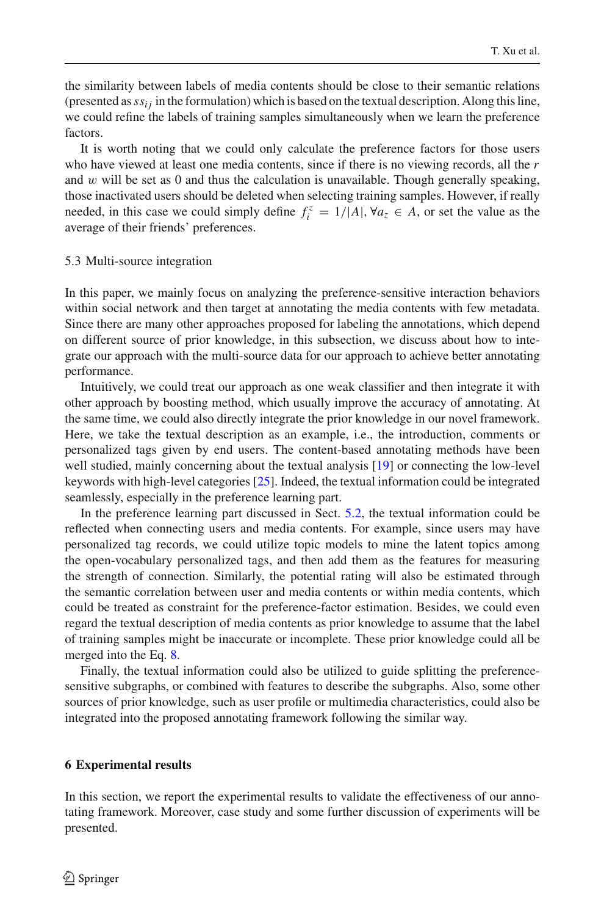the similarity between labels of media contents should be close to their semantic relations (presented as  $ss_{ij}$  in the formulation) which is based on the textual description. Along this line, we could refine the labels of training samples simultaneously when we learn the preference factors.

It is worth noting that we could only calculate the preference factors for those users who have viewed at least one media contents, since if there is no viewing records, all the *r* and  $w$  will be set as 0 and thus the calculation is unavailable. Though generally speaking, those inactivated users should be deleted when selecting training samples. However, if really needed, in this case we could simply define  $f_i^z = 1/|A|, \forall a_z \in A$ , or set the value as the average of their friends' preferences.

#### 5.3 Multi-source integration

In this paper, we mainly focus on analyzing the preference-sensitive interaction behaviors within social network and then target at annotating the media contents with few metadata. Since there are many other approaches proposed for labeling the annotations, which depend on different source of prior knowledge, in this subsection, we discuss about how to integrate our approach with the multi-source data for our approach to achieve better annotating performance.

Intuitively, we could treat our approach as one weak classifier and then integrate it with other approach by boosting method, which usually improve the accuracy of annotating. At the same time, we could also directly integrate the prior knowledge in our novel framework. Here, we take the textual description as an example, i.e., the introduction, comments or personalized tags given by end users. The content-based annotating methods have been well studied, mainly concerning about the textual analysis [\[19](#page-22-6)] or connecting the low-level keywords with high-level categories [\[25\]](#page-23-5). Indeed, the textual information could be integrated seamlessly, especially in the preference learning part.

In the preference learning part discussed in Sect. [5.2,](#page-11-0) the textual information could be reflected when connecting users and media contents. For example, since users may have personalized tag records, we could utilize topic models to mine the latent topics among the open-vocabulary personalized tags, and then add them as the features for measuring the strength of connection. Similarly, the potential rating will also be estimated through the semantic correlation between user and media contents or within media contents, which could be treated as constraint for the preference-factor estimation. Besides, we could even regard the textual description of media contents as prior knowledge to assume that the label of training samples might be inaccurate or incomplete. These prior knowledge could all be merged into the Eq. [8.](#page-12-2)

Finally, the textual information could also be utilized to guide splitting the preferencesensitive subgraphs, or combined with features to describe the subgraphs. Also, some other sources of prior knowledge, such as user profile or multimedia characteristics, could also be integrated into the proposed annotating framework following the similar way.

#### <span id="page-13-0"></span>**6 Experimental results**

In this section, we report the experimental results to validate the effectiveness of our annotating framework. Moreover, case study and some further discussion of experiments will be presented.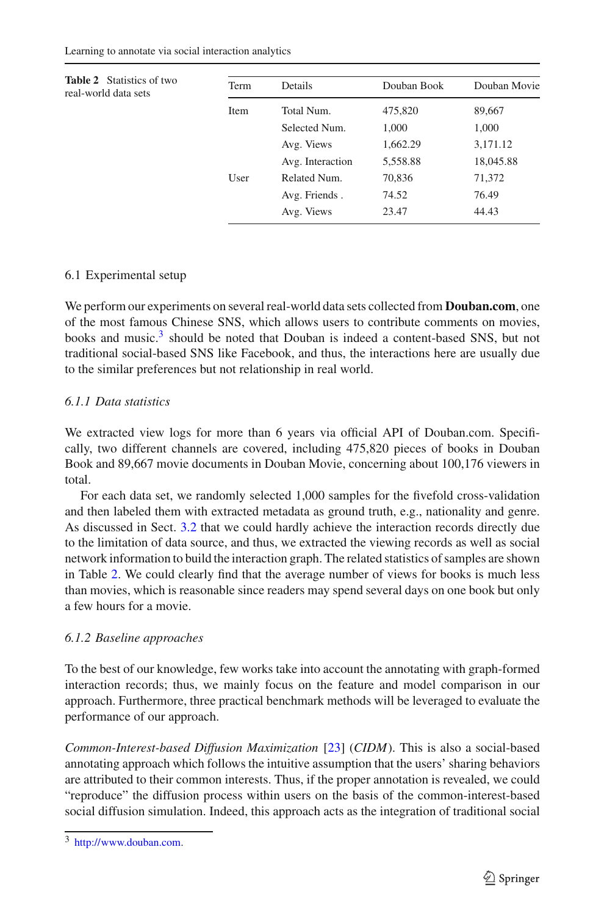<span id="page-14-1"></span>

| <b>Table 2</b> Statistics of two<br>real-world data sets | Term | Details          | Douban Book | Douban Movie |
|----------------------------------------------------------|------|------------------|-------------|--------------|
|                                                          | Item | Total Num.       | 475,820     | 89,667       |
|                                                          |      | Selected Num.    | 1,000       | 1,000        |
|                                                          |      | Avg. Views       | 1,662.29    | 3,171.12     |
|                                                          |      | Avg. Interaction | 5,558.88    | 18,045.88    |
|                                                          | User | Related Num.     | 70,836      | 71,372       |
|                                                          |      | Avg. Friends.    | 74.52       | 76.49        |
|                                                          |      | Avg. Views       | 23.47       | 44.43        |

### 6.1 Experimental setup

We perform our experiments on several real-world data sets collected from **Douban.com**, one of the most famous Chinese SNS, which allows users to contribute comments on movies, books and music.<sup>[3](#page-14-0)</sup> should be noted that Douban is indeed a content-based SNS, but not traditional social-based SNS like Facebook, and thus, the interactions here are usually due to the similar preferences but not relationship in real world.

## *6.1.1 Data statistics*

We extracted view logs for more than 6 years via official API of Douban.com. Specifically, two different channels are covered, including 475,820 pieces of books in Douban Book and 89,667 movie documents in Douban Movie, concerning about 100,176 viewers in total.

For each data set, we randomly selected 1,000 samples for the fivefold cross-validation and then labeled them with extracted metadata as ground truth, e.g., nationality and genre. As discussed in Sect. [3.2](#page-5-0) that we could hardly achieve the interaction records directly due to the limitation of data source, and thus, we extracted the viewing records as well as social network information to build the interaction graph. The related statistics of samples are shown in Table [2.](#page-14-1) We could clearly find that the average number of views for books is much less than movies, which is reasonable since readers may spend several days on one book but only a few hours for a movie.

### *6.1.2 Baseline approaches*

To the best of our knowledge, few works take into account the annotating with graph-formed interaction records; thus, we mainly focus on the feature and model comparison in our approach. Furthermore, three practical benchmark methods will be leveraged to evaluate the performance of our approach.

*Common-Interest-based Diffusion Maximization* [\[23](#page-23-6)] (*CIDM*). This is also a social-based annotating approach which follows the intuitive assumption that the users' sharing behaviors are attributed to their common interests. Thus, if the proper annotation is revealed, we could "reproduce" the diffusion process within users on the basis of the common-interest-based social diffusion simulation. Indeed, this approach acts as the integration of traditional social

<span id="page-14-0"></span><sup>3</sup> [http://www.douban.com.](http://www.douban.com)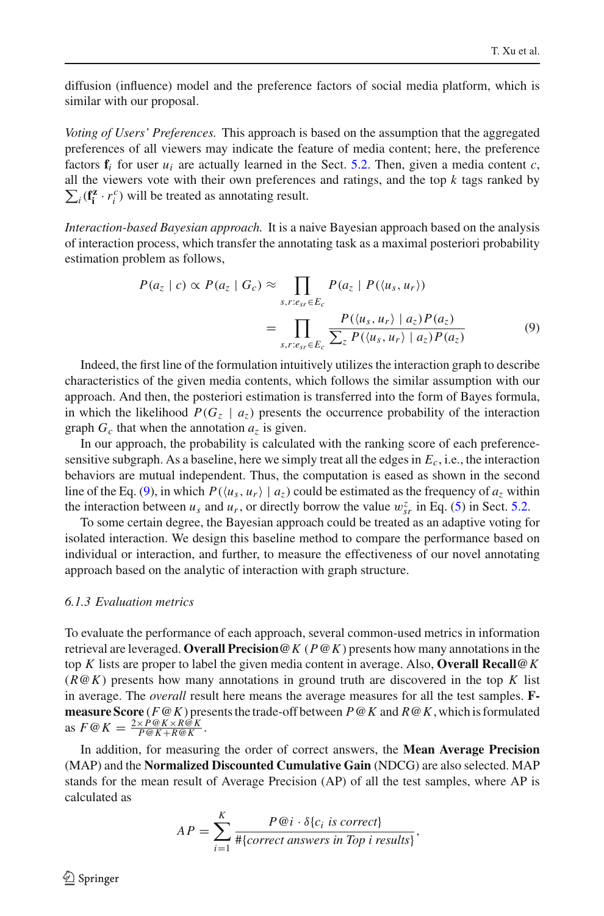diffusion (influence) model and the preference factors of social media platform, which is similar with our proposal.

*Voting of Users' Preferences.* This approach is based on the assumption that the aggregated preferences of all viewers may indicate the feature of media content; here, the preference factors  $f_i$  for user  $u_i$  are actually learned in the Sect. [5.2.](#page-11-0) Then, given a media content  $c$ , all the viewers vote with their own preferences and ratings, and the top *k* tags ranked by  $\sum_i (\mathbf{f}_i^z \cdot r_i^c)$  will be treated as annotating result.

<span id="page-15-0"></span>*Interaction-based Bayesian approach.* It is a naive Bayesian approach based on the analysis of interaction process, which transfer the annotating task as a maximal posteriori probability estimation problem as follows,

$$
P(a_z \mid c) \propto P(a_z \mid G_c) \approx \prod_{s,r:e_{sr} \in E_c} P(a_z \mid P(\langle u_s, u_r \rangle))
$$
  
= 
$$
\prod_{s,r:e_{sr} \in E_c} \frac{P(\langle u_s, u_r \rangle \mid a_z)P(a_z)}{\sum_z P(\langle u_s, u_r \rangle \mid a_z)P(a_z)}
$$
(9)

Indeed, the first line of the formulation intuitively utilizes the interaction graph to describe characteristics of the given media contents, which follows the similar assumption with our approach. And then, the posteriori estimation is transferred into the form of Bayes formula, in which the likelihood  $P(G_7 \mid a_7)$  presents the occurrence probability of the interaction graph  $G_c$  that when the annotation  $a_z$  is given.

In our approach, the probability is calculated with the ranking score of each preferencesensitive subgraph. As a baseline, here we simply treat all the edges in *Ec*, i.e., the interaction behaviors are mutual independent. Thus, the computation is eased as shown in the second line of the Eq. [\(9\)](#page-15-0), in which  $P(\langle u_s, u_r \rangle \mid a_z)$  could be estimated as the frequency of  $a_z$  within the interaction between  $u_s$  and  $u_r$ , or directly borrow the value  $w_{sr}^z$  in Eq. [\(5\)](#page-12-3) in Sect. [5.2.](#page-11-0)

To some certain degree, the Bayesian approach could be treated as an adaptive voting for isolated interaction. We design this baseline method to compare the performance based on individual or interaction, and further, to measure the effectiveness of our novel annotating approach based on the analytic of interaction with graph structure.

#### *6.1.3 Evaluation metrics*

To evaluate the performance of each approach, several common-used metrics in information retrieval are leveraged. **Overall Precision@***K* (*P*@*K*) presents how many annotations in the top *K* lists are proper to label the given media content in average. Also, **Overall Recall@***K* (*R*@*K*) presents how many annotations in ground truth are discovered in the top *K* list in average. The *overall* result here means the average measures for all the test samples. **Fmeasure Score** (*F*@*K*) presents the trade-off between *P*@*K* and *R*@*K*, which is formulated as  $F \omega K = \frac{2 \times P \omega K \times R \tilde{\omega} K}{P \omega K + R \omega K}$ .

In addition, for measuring the order of correct answers, the **Mean Average Precision** (MAP) and the **Normalized Discounted Cumulative Gain** (NDCG) are also selected. MAP stands for the mean result of Average Precision (AP) of all the test samples, where AP is calculated as

$$
AP = \sum_{i=1}^{K} \frac{P \circledast i \cdot \delta\{c_i \text{ is correct}\}}{\#{correct \text{ answers in Top } i \text{ results}}},
$$

 $\circledcirc$  Springer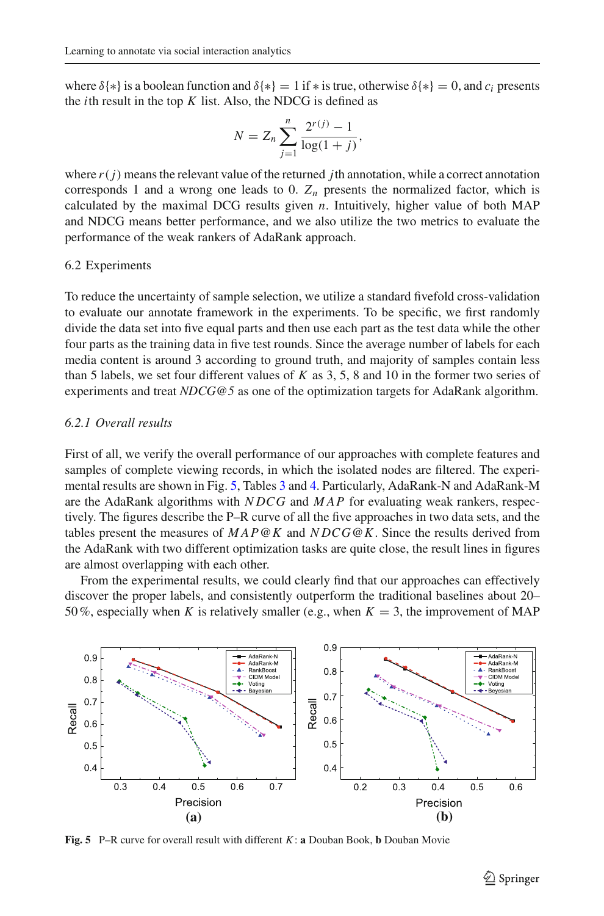where  $\delta$ {\*} is a boolean function and  $\delta$ {\*} = 1 if \* is true, otherwise  $\delta$ {\*} = 0, and *c<sub>i</sub>* presents the *i*th result in the top *K* list. Also, the NDCG is defined as

$$
N = Z_n \sum_{j=1}^{n} \frac{2^{r(j)} - 1}{\log(1 + j)},
$$

where  $r(j)$  means the relevant value of the returned *j*th annotation, while a correct annotation corresponds 1 and a wrong one leads to 0.  $Z_n$  presents the normalized factor, which is calculated by the maximal DCG results given *n*. Intuitively, higher value of both MAP and NDCG means better performance, and we also utilize the two metrics to evaluate the performance of the weak rankers of AdaRank approach.

#### 6.2 Experiments

To reduce the uncertainty of sample selection, we utilize a standard fivefold cross-validation to evaluate our annotate framework in the experiments. To be specific, we first randomly divide the data set into five equal parts and then use each part as the test data while the other four parts as the training data in five test rounds. Since the average number of labels for each media content is around 3 according to ground truth, and majority of samples contain less than 5 labels, we set four different values of *K* as 3, 5, 8 and 10 in the former two series of experiments and treat *NDCG@5* as one of the optimization targets for AdaRank algorithm.

### *6.2.1 Overall results*

First of all, we verify the overall performance of our approaches with complete features and samples of complete viewing records, in which the isolated nodes are filtered. The experimental results are shown in Fig. [5,](#page-16-0) Tables [3](#page-17-0) and [4.](#page-17-1) Particularly, AdaRank-N and AdaRank-M are the AdaRank algorithms with *N DCG* and *MAP* for evaluating weak rankers, respectively. The figures describe the P–R curve of all the five approaches in two data sets, and the tables present the measures of *MAP*@*K* and *N DCG*@*K*. Since the results derived from the AdaRank with two different optimization tasks are quite close, the result lines in figures are almost overlapping with each other.

From the experimental results, we could clearly find that our approaches can effectively discover the proper labels, and consistently outperform the traditional baselines about 20– 50%, especially when *K* is relatively smaller (e.g., when  $K = 3$ , the improvement of MAP



<span id="page-16-0"></span>**Fig. 5** P–R curve for overall result with different *K*: **a** Douban Book, **b** Douban Movie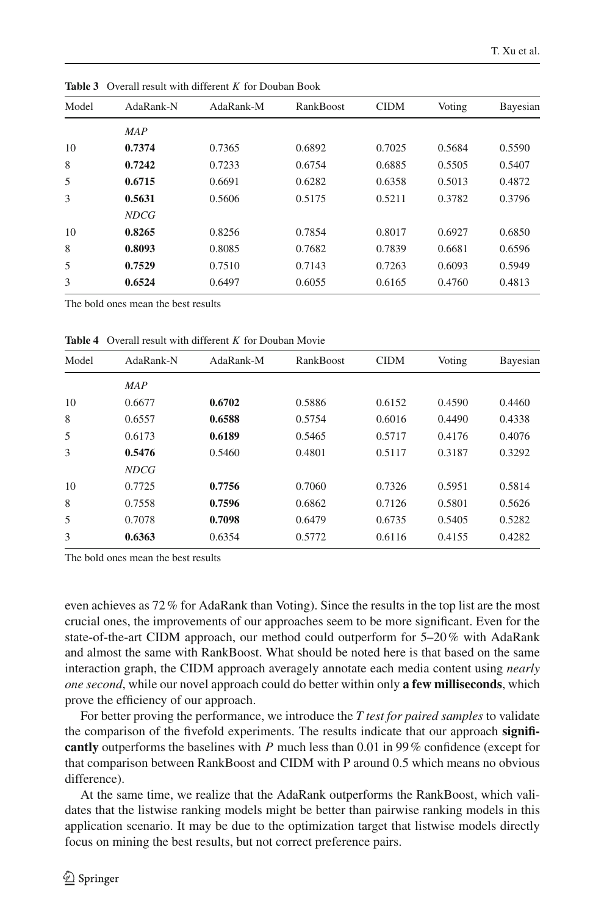| Model | AdaRank-N   | AdaRank-M | RankBoost | <b>CIDM</b> | Voting | Bayesian |
|-------|-------------|-----------|-----------|-------------|--------|----------|
|       | <b>MAP</b>  |           |           |             |        |          |
| 10    | 0.7374      | 0.7365    | 0.6892    | 0.7025      | 0.5684 | 0.5590   |
| 8     | 0.7242      | 0.7233    | 0.6754    | 0.6885      | 0.5505 | 0.5407   |
| 5     | 0.6715      | 0.6691    | 0.6282    | 0.6358      | 0.5013 | 0.4872   |
| 3     | 0.5631      | 0.5606    | 0.5175    | 0.5211      | 0.3782 | 0.3796   |
|       | <b>NDCG</b> |           |           |             |        |          |
| 10    | 0.8265      | 0.8256    | 0.7854    | 0.8017      | 0.6927 | 0.6850   |
| 8     | 0.8093      | 0.8085    | 0.7682    | 0.7839      | 0.6681 | 0.6596   |
| 5     | 0.7529      | 0.7510    | 0.7143    | 0.7263      | 0.6093 | 0.5949   |
| 3     | 0.6524      | 0.6497    | 0.6055    | 0.6165      | 0.4760 | 0.4813   |

<span id="page-17-0"></span>**Table 3** Overall result with different *K* for Douban Book

The bold ones mean the best results

<span id="page-17-1"></span>**Table 4** Overall result with different *K* for Douban Movie

| Model | AdaRank-N   | AdaRank-M | RankBoost | <b>CIDM</b> | Voting | Bayesian |
|-------|-------------|-----------|-----------|-------------|--------|----------|
|       | <b>MAP</b>  |           |           |             |        |          |
| 10    | 0.6677      | 0.6702    | 0.5886    | 0.6152      | 0.4590 | 0.4460   |
| 8     | 0.6557      | 0.6588    | 0.5754    | 0.6016      | 0.4490 | 0.4338   |
| 5     | 0.6173      | 0.6189    | 0.5465    | 0.5717      | 0.4176 | 0.4076   |
| 3     | 0.5476      | 0.5460    | 0.4801    | 0.5117      | 0.3187 | 0.3292   |
|       | <b>NDCG</b> |           |           |             |        |          |
| 10    | 0.7725      | 0.7756    | 0.7060    | 0.7326      | 0.5951 | 0.5814   |
| 8     | 0.7558      | 0.7596    | 0.6862    | 0.7126      | 0.5801 | 0.5626   |
| 5     | 0.7078      | 0.7098    | 0.6479    | 0.6735      | 0.5405 | 0.5282   |
| 3     | 0.6363      | 0.6354    | 0.5772    | 0.6116      | 0.4155 | 0.4282   |

The bold ones mean the best results

even achieves as 72% for AdaRank than Voting). Since the results in the top list are the most crucial ones, the improvements of our approaches seem to be more significant. Even for the state-of-the-art CIDM approach, our method could outperform for 5–20% with AdaRank and almost the same with RankBoost. What should be noted here is that based on the same interaction graph, the CIDM approach averagely annotate each media content using *nearly one second*, while our novel approach could do better within only **a few milliseconds**, which prove the efficiency of our approach.

For better proving the performance, we introduce the *T test for paired samples* to validate the comparison of the fivefold experiments. The results indicate that our approach **significantly** outperforms the baselines with *P* much less than 0.01 in 99% confidence (except for that comparison between RankBoost and CIDM with P around 0.5 which means no obvious difference).

At the same time, we realize that the AdaRank outperforms the RankBoost, which validates that the listwise ranking models might be better than pairwise ranking models in this application scenario. It may be due to the optimization target that listwise models directly focus on mining the best results, but not correct preference pairs.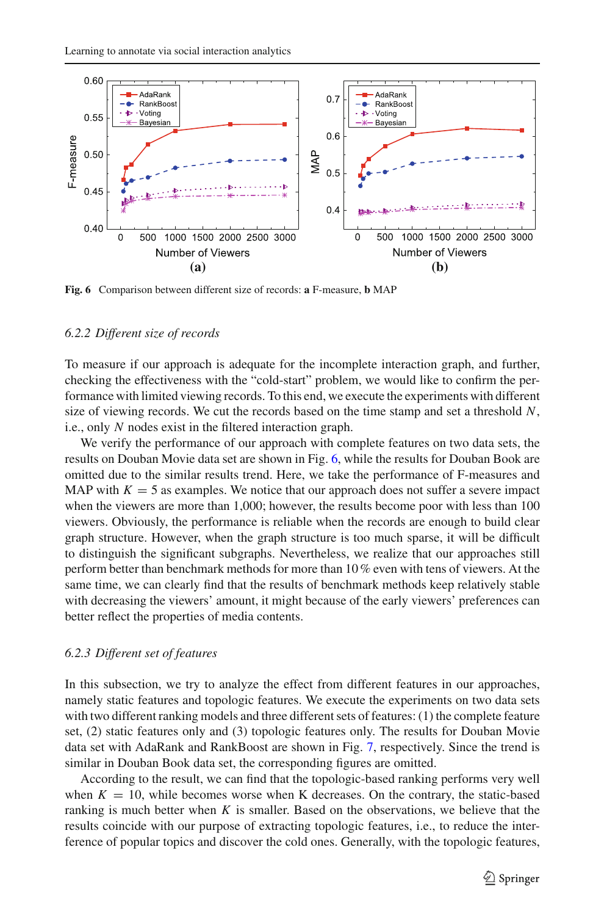

<span id="page-18-1"></span>**Fig. 6** Comparison between different size of records: **a** F-measure, **b** MAP

### <span id="page-18-0"></span>*6.2.2 Different size of records*

To measure if our approach is adequate for the incomplete interaction graph, and further, checking the effectiveness with the "cold-start" problem, we would like to confirm the performance with limited viewing records. To this end, we execute the experiments with different size of viewing records. We cut the records based on the time stamp and set a threshold *N*, i.e., only *N* nodes exist in the filtered interaction graph.

We verify the performance of our approach with complete features on two data sets, the results on Douban Movie data set are shown in Fig. [6,](#page-18-1) while the results for Douban Book are omitted due to the similar results trend. Here, we take the performance of F-measures and MAP with  $K = 5$  as examples. We notice that our approach does not suffer a severe impact when the viewers are more than 1,000; however, the results become poor with less than 100 viewers. Obviously, the performance is reliable when the records are enough to build clear graph structure. However, when the graph structure is too much sparse, it will be difficult to distinguish the significant subgraphs. Nevertheless, we realize that our approaches still perform better than benchmark methods for more than 10% even with tens of viewers. At the same time, we can clearly find that the results of benchmark methods keep relatively stable with decreasing the viewers' amount, it might because of the early viewers' preferences can better reflect the properties of media contents.

#### *6.2.3 Different set of features*

In this subsection, we try to analyze the effect from different features in our approaches, namely static features and topologic features. We execute the experiments on two data sets with two different ranking models and three different sets of features: (1) the complete feature set, (2) static features only and (3) topologic features only. The results for Douban Movie data set with AdaRank and RankBoost are shown in Fig. [7,](#page-19-0) respectively. Since the trend is similar in Douban Book data set, the corresponding figures are omitted.

According to the result, we can find that the topologic-based ranking performs very well when  $K = 10$ , while becomes worse when K decreases. On the contrary, the static-based ranking is much better when *K* is smaller. Based on the observations, we believe that the results coincide with our purpose of extracting topologic features, i.e., to reduce the interference of popular topics and discover the cold ones. Generally, with the topologic features,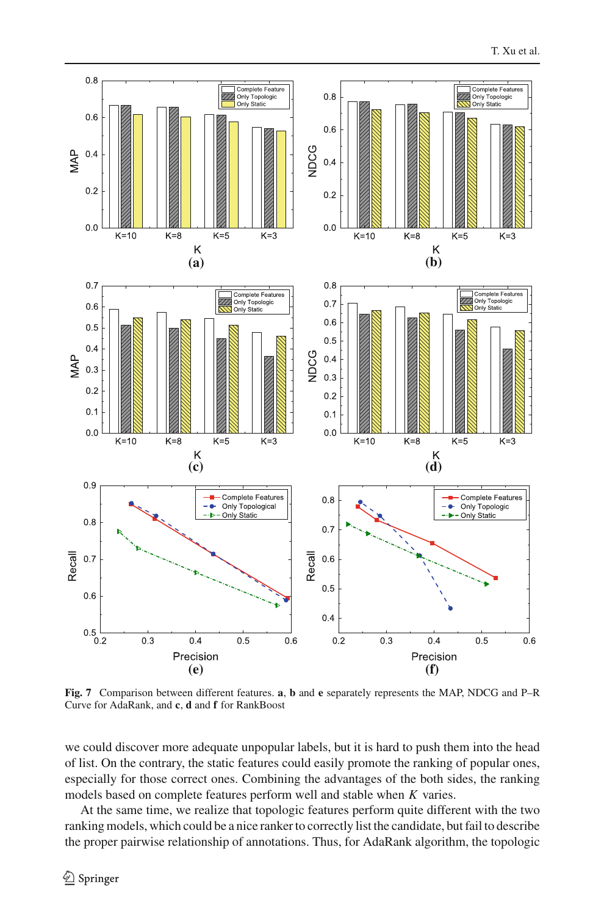

<span id="page-19-0"></span>**Fig. 7** Comparison between different features. **a**, **b** and **e** separately represents the MAP, NDCG and P–R Curve for AdaRank, and **c**, **d** and **f** for RankBoost

we could discover more adequate unpopular labels, but it is hard to push them into the head of list. On the contrary, the static features could easily promote the ranking of popular ones, especially for those correct ones. Combining the advantages of the both sides, the ranking models based on complete features perform well and stable when *K* varies.

At the same time, we realize that topologic features perform quite different with the two ranking models, which could be a nice ranker to correctly list the candidate, but fail to describe the proper pairwise relationship of annotations. Thus, for AdaRank algorithm, the topologic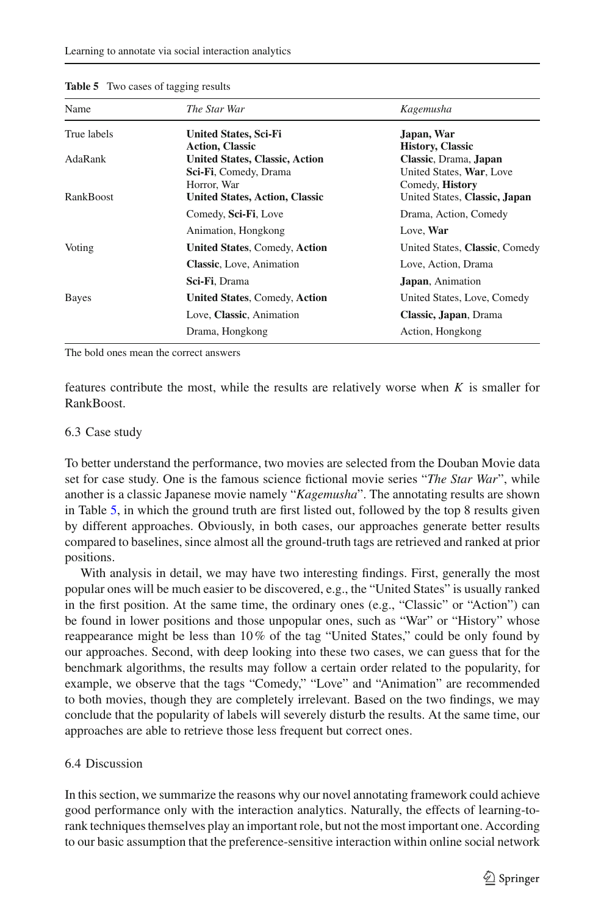| Kagemusha                      |  |  |
|--------------------------------|--|--|
| Japan, War                     |  |  |
| <b>History, Classic</b>        |  |  |
| Classic, Drama, Japan          |  |  |
| United States, War, Love       |  |  |
| Comedy, History                |  |  |
| United States, Classic, Japan  |  |  |
| Drama, Action, Comedy          |  |  |
| Love, War                      |  |  |
| United States, Classic, Comedy |  |  |
| Love, Action, Drama            |  |  |
| Japan, Animation               |  |  |
| United States, Love, Comedy    |  |  |
| Classic, Japan, Drama          |  |  |
| Action, Hongkong               |  |  |
|                                |  |  |

#### <span id="page-20-0"></span>**Table 5** Two cases of tagging results

The bold ones mean the correct answers

features contribute the most, while the results are relatively worse when *K* is smaller for RankBoost.

### 6.3 Case study

To better understand the performance, two movies are selected from the Douban Movie data set for case study. One is the famous science fictional movie series "*The Star War*", while another is a classic Japanese movie namely "*Kagemusha*". The annotating results are shown in Table [5,](#page-20-0) in which the ground truth are first listed out, followed by the top 8 results given by different approaches. Obviously, in both cases, our approaches generate better results compared to baselines, since almost all the ground-truth tags are retrieved and ranked at prior positions.

With analysis in detail, we may have two interesting findings. First, generally the most popular ones will be much easier to be discovered, e.g., the "United States" is usually ranked in the first position. At the same time, the ordinary ones (e.g., "Classic" or "Action") can be found in lower positions and those unpopular ones, such as "War" or "History" whose reappearance might be less than 10% of the tag "United States," could be only found by our approaches. Second, with deep looking into these two cases, we can guess that for the benchmark algorithms, the results may follow a certain order related to the popularity, for example, we observe that the tags "Comedy," "Love" and "Animation" are recommended to both movies, though they are completely irrelevant. Based on the two findings, we may conclude that the popularity of labels will severely disturb the results. At the same time, our approaches are able to retrieve those less frequent but correct ones.

### 6.4 Discussion

In this section, we summarize the reasons why our novel annotating framework could achieve good performance only with the interaction analytics. Naturally, the effects of learning-torank techniques themselves play an important role, but not the most important one. According to our basic assumption that the preference-sensitive interaction within online social network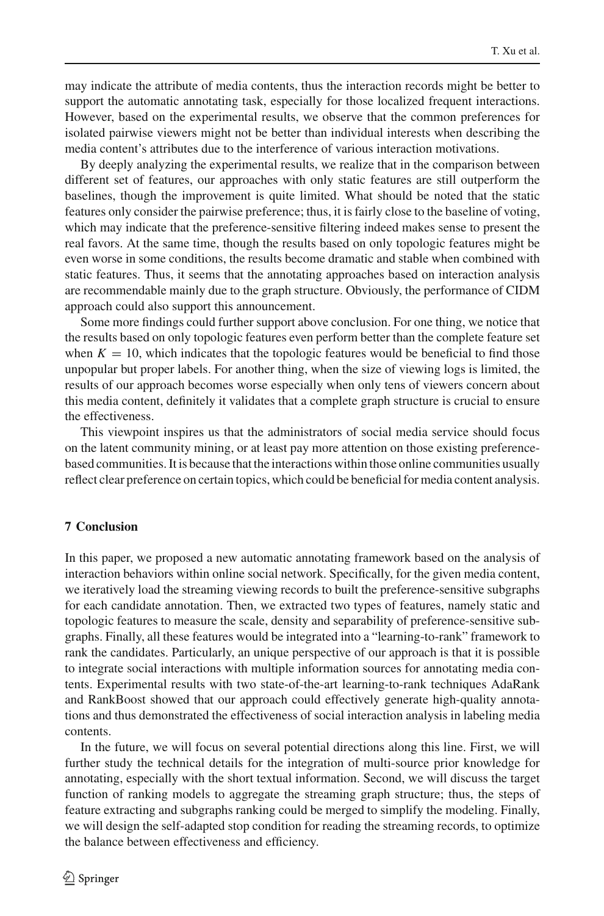may indicate the attribute of media contents, thus the interaction records might be better to support the automatic annotating task, especially for those localized frequent interactions. However, based on the experimental results, we observe that the common preferences for isolated pairwise viewers might not be better than individual interests when describing the media content's attributes due to the interference of various interaction motivations.

By deeply analyzing the experimental results, we realize that in the comparison between different set of features, our approaches with only static features are still outperform the baselines, though the improvement is quite limited. What should be noted that the static features only consider the pairwise preference; thus, it is fairly close to the baseline of voting, which may indicate that the preference-sensitive filtering indeed makes sense to present the real favors. At the same time, though the results based on only topologic features might be even worse in some conditions, the results become dramatic and stable when combined with static features. Thus, it seems that the annotating approaches based on interaction analysis are recommendable mainly due to the graph structure. Obviously, the performance of CIDM approach could also support this announcement.

Some more findings could further support above conclusion. For one thing, we notice that the results based on only topologic features even perform better than the complete feature set when  $K = 10$ , which indicates that the topologic features would be beneficial to find those unpopular but proper labels. For another thing, when the size of viewing logs is limited, the results of our approach becomes worse especially when only tens of viewers concern about this media content, definitely it validates that a complete graph structure is crucial to ensure the effectiveness.

This viewpoint inspires us that the administrators of social media service should focus on the latent community mining, or at least pay more attention on those existing preferencebased communities. It is because that the interactions within those online communities usually reflect clear preference on certain topics, which could be beneficial for media content analysis.

# <span id="page-21-0"></span>**7 Conclusion**

In this paper, we proposed a new automatic annotating framework based on the analysis of interaction behaviors within online social network. Specifically, for the given media content, we iteratively load the streaming viewing records to built the preference-sensitive subgraphs for each candidate annotation. Then, we extracted two types of features, namely static and topologic features to measure the scale, density and separability of preference-sensitive subgraphs. Finally, all these features would be integrated into a "learning-to-rank" framework to rank the candidates. Particularly, an unique perspective of our approach is that it is possible to integrate social interactions with multiple information sources for annotating media contents. Experimental results with two state-of-the-art learning-to-rank techniques AdaRank and RankBoost showed that our approach could effectively generate high-quality annotations and thus demonstrated the effectiveness of social interaction analysis in labeling media contents.

In the future, we will focus on several potential directions along this line. First, we will further study the technical details for the integration of multi-source prior knowledge for annotating, especially with the short textual information. Second, we will discuss the target function of ranking models to aggregate the streaming graph structure; thus, the steps of feature extracting and subgraphs ranking could be merged to simplify the modeling. Finally, we will design the self-adapted stop condition for reading the streaming records, to optimize the balance between effectiveness and efficiency.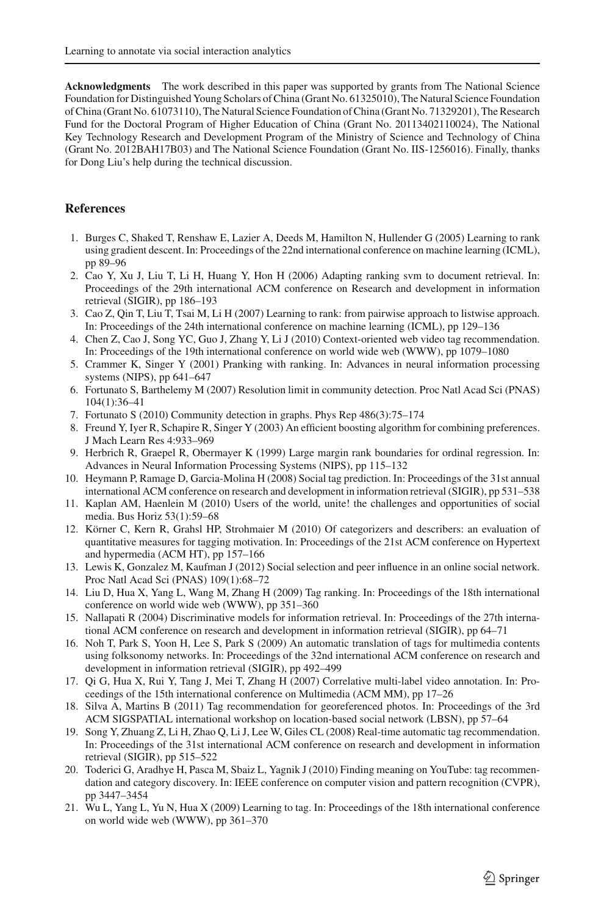**Acknowledgments** The work described in this paper was supported by grants from The National Science Foundation for Distinguished Young Scholars of China (Grant No. 61325010), The Natural Science Foundation of China (Grant No. 61073110), The Natural Science Foundation of China (Grant No. 71329201), The Research Fund for the Doctoral Program of Higher Education of China (Grant No. 20113402110024), The National Key Technology Research and Development Program of the Ministry of Science and Technology of China (Grant No. 2012BAH17B03) and The National Science Foundation (Grant No. IIS-1256016). Finally, thanks for Dong Liu's help during the technical discussion.

# <span id="page-22-20"></span>**References**

- 1. Burges C, Shaked T, Renshaw E, Lazier A, Deeds M, Hamilton N, Hullender G (2005) Learning to rank using gradient descent. In: Proceedings of the 22nd international conference on machine learning (ICML), pp 89–96
- <span id="page-22-14"></span>2. Cao Y, Xu J, Liu T, Li H, Huang Y, Hon H (2006) Adapting ranking svm to document retrieval. In: Proceedings of the 29th international ACM conference on Research and development in information retrieval (SIGIR), pp 186–193
- <span id="page-22-15"></span>3. Cao Z, Qin T, Liu T, Tsai M, Li H (2007) Learning to rank: from pairwise approach to listwise approach. In: Proceedings of the 24th international conference on machine learning (ICML), pp 129–136
- <span id="page-22-1"></span>4. Chen Z, Cao J, Song YC, Guo J, Zhang Y, Li J (2010) Context-oriented web video tag recommendation. In: Proceedings of the 19th international conference on world wide web (WWW), pp 1079–1080
- <span id="page-22-10"></span>5. Crammer K, Singer Y (2001) Pranking with ranking. In: Advances in neural information processing systems (NIPS), pp 641–647
- <span id="page-22-19"></span>6. Fortunato S, Barthelemy M (2007) Resolution limit in community detection. Proc Natl Acad Sci (PNAS) 104(1):36–41
- 7. Fortunato S (2010) Community detection in graphs. Phys Rep 486(3):75–174
- <span id="page-22-18"></span><span id="page-22-13"></span>8. Freund Y, Iyer R, Schapire R, Singer Y (2003) An efficient boosting algorithm for combining preferences. J Mach Learn Res 4:933–969
- 9. Herbrich R, Graepel R, Obermayer K (1999) Large margin rank boundaries for ordinal regression. In: Advances in Neural Information Processing Systems (NIPS), pp 115–132
- <span id="page-22-12"></span><span id="page-22-7"></span>10. Heymann P, Ramage D, Garcia-Molina H (2008) Social tag prediction. In: Proceedings of the 31st annual international ACM conference on research and development in information retrieval (SIGIR), pp 531–538
- <span id="page-22-0"></span>11. Kaplan AM, Haenlein M (2010) Users of the world, unite! the challenges and opportunities of social media. Bus Horiz 53(1):59–68
- <span id="page-22-5"></span>12. Körner C, Kern R, Grahsl HP, Strohmaier M (2010) Of categorizers and describers: an evaluation of quantitative measures for tagging motivation. In: Proceedings of the 21st ACM conference on Hypertext and hypermedia (ACM HT), pp 157–166
- <span id="page-22-4"></span>13. Lewis K, Gonzalez M, Kaufman J (2012) Social selection and peer influence in an online social network. Proc Natl Acad Sci (PNAS) 109(1):68–72
- <span id="page-22-9"></span>14. Liu D, Hua X, Yang L, Wang M, Zhang H (2009) Tag ranking. In: Proceedings of the 18th international conference on world wide web (WWW), pp 351–360
- <span id="page-22-11"></span>15. Nallapati R (2004) Discriminative models for information retrieval. In: Proceedings of the 27th international ACM conference on research and development in information retrieval (SIGIR), pp 64–71
- <span id="page-22-3"></span>16. Noh T, Park S, Yoon H, Lee S, Park S (2009) An automatic translation of tags for multimedia contents using folksonomy networks. In: Proceedings of the 32nd international ACM conference on research and development in information retrieval (SIGIR), pp 492–499
- <span id="page-22-2"></span>17. Qi G, Hua X, Rui Y, Tang J, Mei T, Zhang H (2007) Correlative multi-label video annotation. In: Proceedings of the 15th international conference on Multimedia (ACM MM), pp 17–26
- <span id="page-22-17"></span>18. Silva A, Martins B (2011) Tag recommendation for georeferenced photos. In: Proceedings of the 3rd ACM SIGSPATIAL international workshop on location-based social network (LBSN), pp 57–64
- <span id="page-22-6"></span>19. Song Y, Zhuang Z, Li H, Zhao Q, Li J, Lee W, Giles CL (2008) Real-time automatic tag recommendation. In: Proceedings of the 31st international ACM conference on research and development in information retrieval (SIGIR), pp 515–522
- <span id="page-22-8"></span>20. Toderici G, Aradhye H, Pasca M, Sbaiz L, Yagnik J (2010) Finding meaning on YouTube: tag recommendation and category discovery. In: IEEE conference on computer vision and pattern recognition (CVPR), pp 3447–3454
- <span id="page-22-16"></span>21. Wu L, Yang L, Yu N, Hua X (2009) Learning to tag. In: Proceedings of the 18th international conference on world wide web (WWW), pp 361–370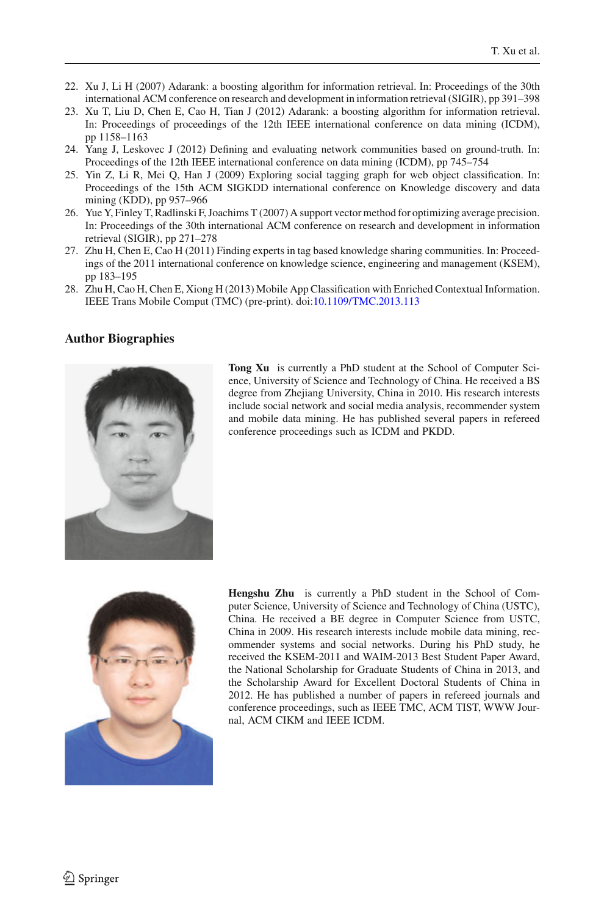- <span id="page-23-2"></span>22. Xu J, Li H (2007) Adarank: a boosting algorithm for information retrieval. In: Proceedings of the 30th international ACM conference on research and development in information retrieval (SIGIR), pp 391–398
- <span id="page-23-6"></span>23. Xu T, Liu D, Chen E, Cao H, Tian J (2012) Adarank: a boosting algorithm for information retrieval. In: Proceedings of proceedings of the 12th IEEE international conference on data mining (ICDM), pp 1158–1163
- <span id="page-23-4"></span>24. Yang J, Leskovec J (2012) Defining and evaluating network communities based on ground-truth. In: Proceedings of the 12th IEEE international conference on data mining (ICDM), pp 745–754
- <span id="page-23-5"></span>25. Yin Z, Li R, Mei Q, Han J (2009) Exploring social tagging graph for web object classification. In: Proceedings of the 15th ACM SIGKDD international conference on Knowledge discovery and data mining (KDD), pp 957–966
- <span id="page-23-3"></span>26. Yue Y, Finley T, Radlinski F, Joachims T (2007) A support vector method for optimizing average precision. In: Proceedings of the 30th international ACM conference on research and development in information retrieval (SIGIR), pp 271–278
- <span id="page-23-1"></span>27. Zhu H, Chen E, Cao H (2011) Finding experts in tag based knowledge sharing communities. In: Proceedings of the 2011 international conference on knowledge science, engineering and management (KSEM), pp 183–195
- <span id="page-23-0"></span>28. Zhu H, Cao H, Chen E, Xiong H (2013) Mobile App Classification with Enriched Contextual Information. IEEE Trans Mobile Comput (TMC) (pre-print). doi[:10.1109/TMC.2013.113](http://dx.doi.org/10.1109/TMC.2013.113)

# **Author Biographies**



**Tong Xu** is currently a PhD student at the School of Computer Science, University of Science and Technology of China. He received a BS degree from Zhejiang University, China in 2010. His research interests include social network and social media analysis, recommender system and mobile data mining. He has published several papers in refereed conference proceedings such as ICDM and PKDD.



**Hengshu Zhu** is currently a PhD student in the School of Computer Science, University of Science and Technology of China (USTC), China. He received a BE degree in Computer Science from USTC, China in 2009. His research interests include mobile data mining, recommender systems and social networks. During his PhD study, he received the KSEM-2011 and WAIM-2013 Best Student Paper Award, the National Scholarship for Graduate Students of China in 2013, and the Scholarship Award for Excellent Doctoral Students of China in 2012. He has published a number of papers in refereed journals and conference proceedings, such as IEEE TMC, ACM TIST, WWW Journal, ACM CIKM and IEEE ICDM.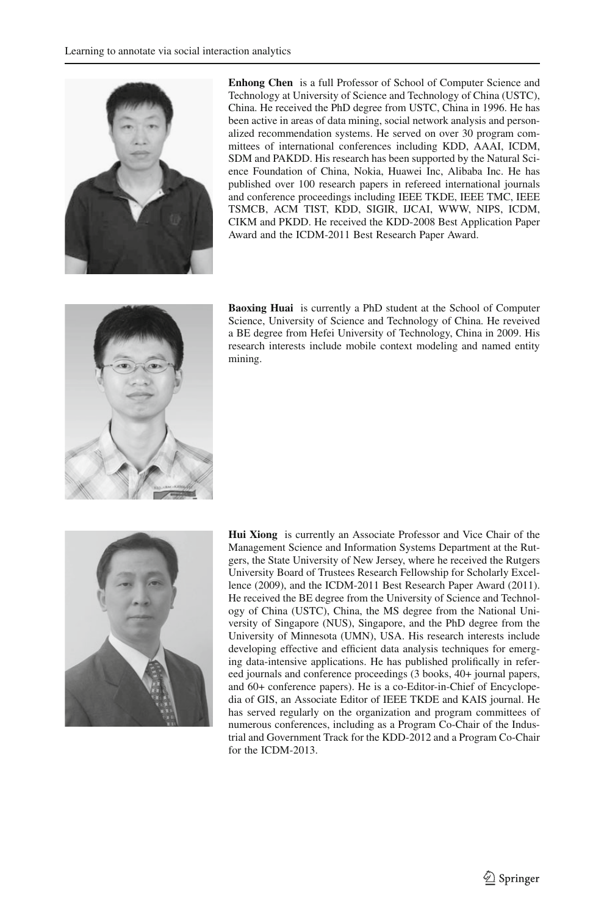

**Enhong Chen** is a full Professor of School of Computer Science and Technology at University of Science and Technology of China (USTC), China. He received the PhD degree from USTC, China in 1996. He has been active in areas of data mining, social network analysis and personalized recommendation systems. He served on over 30 program committees of international conferences including KDD, AAAI, ICDM, SDM and PAKDD. His research has been supported by the Natural Science Foundation of China, Nokia, Huawei Inc, Alibaba Inc. He has published over 100 research papers in refereed international journals and conference proceedings including IEEE TKDE, IEEE TMC, IEEE TSMCB, ACM TIST, KDD, SIGIR, IJCAI, WWW, NIPS, ICDM, CIKM and PKDD. He received the KDD-2008 Best Application Paper Award and the ICDM-2011 Best Research Paper Award.



**Baoxing Huai** is currently a PhD student at the School of Computer Science, University of Science and Technology of China. He reveived a BE degree from Hefei University of Technology, China in 2009. His research interests include mobile context modeling and named entity mining.



**Hui Xiong** is currently an Associate Professor and Vice Chair of the Management Science and Information Systems Department at the Rutgers, the State University of New Jersey, where he received the Rutgers University Board of Trustees Research Fellowship for Scholarly Excellence (2009), and the ICDM-2011 Best Research Paper Award (2011). He received the BE degree from the University of Science and Technology of China (USTC), China, the MS degree from the National University of Singapore (NUS), Singapore, and the PhD degree from the University of Minnesota (UMN), USA. His research interests include developing effective and efficient data analysis techniques for emerging data-intensive applications. He has published prolifically in refereed journals and conference proceedings (3 books, 40+ journal papers, and 60+ conference papers). He is a co-Editor-in-Chief of Encyclopedia of GIS, an Associate Editor of IEEE TKDE and KAIS journal. He has served regularly on the organization and program committees of numerous conferences, including as a Program Co-Chair of the Industrial and Government Track for the KDD-2012 and a Program Co-Chair for the ICDM-2013.